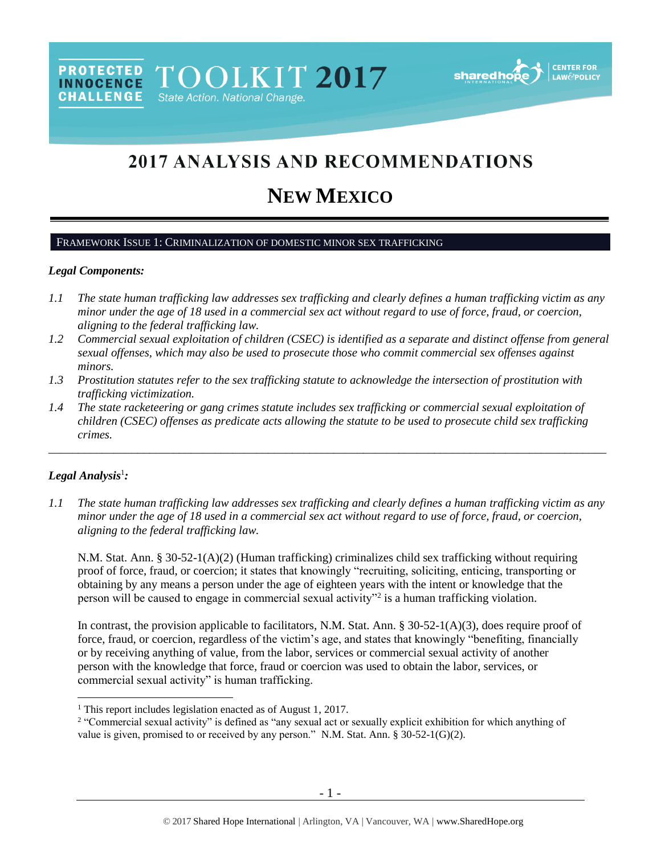## 2017 ANALYSIS AND RECOMMENDATIONS

# **NEW MEXICO**

#### FRAMEWORK ISSUE 1: CRIMINALIZATION OF DOMESTIC MINOR SEX TRAFFICKING

TOOLKIT 2017

State Action. National Change.

#### *Legal Components:*

**PROTECTED** 

**INNOCENCE** 

**CHALLENGE** 

- *1.1 The state human trafficking law addresses sex trafficking and clearly defines a human trafficking victim as any minor under the age of 18 used in a commercial sex act without regard to use of force, fraud, or coercion, aligning to the federal trafficking law.*
- *1.2 Commercial sexual exploitation of children (CSEC) is identified as a separate and distinct offense from general sexual offenses, which may also be used to prosecute those who commit commercial sex offenses against minors.*
- *1.3 Prostitution statutes refer to the sex trafficking statute to acknowledge the intersection of prostitution with trafficking victimization.*
- *1.4 The state racketeering or gang crimes statute includes sex trafficking or commercial sexual exploitation of children (CSEC) offenses as predicate acts allowing the statute to be used to prosecute child sex trafficking crimes.*

\_\_\_\_\_\_\_\_\_\_\_\_\_\_\_\_\_\_\_\_\_\_\_\_\_\_\_\_\_\_\_\_\_\_\_\_\_\_\_\_\_\_\_\_\_\_\_\_\_\_\_\_\_\_\_\_\_\_\_\_\_\_\_\_\_\_\_\_\_\_\_\_\_\_\_\_\_\_\_\_\_\_\_\_\_\_\_\_\_\_\_\_\_\_

#### *Legal Analysis*<sup>1</sup> *:*

 $\overline{a}$ 

*1.1 The state human trafficking law addresses sex trafficking and clearly defines a human trafficking victim as any minor under the age of 18 used in a commercial sex act without regard to use of force, fraud, or coercion, aligning to the federal trafficking law.*

N.M. Stat. Ann. § 30-52-1(A)(2) (Human trafficking) criminalizes child sex trafficking without requiring proof of force, fraud, or coercion; it states that knowingly "recruiting, soliciting, enticing, transporting or obtaining by any means a person under the age of eighteen years with the intent or knowledge that the person will be caused to engage in commercial sexual activity"<sup>2</sup> is a human trafficking violation.

<span id="page-0-0"></span>In contrast, the provision applicable to facilitators, N.M. Stat. Ann. § 30-52-1(A)(3), does require proof of force, fraud, or coercion, regardless of the victim's age, and states that knowingly "benefiting, financially or by receiving anything of value, from the labor, services or commercial sexual activity of another person with the knowledge that force, fraud or coercion was used to obtain the labor, services, or commercial sexual activity" is human trafficking.

<sup>&</sup>lt;sup>1</sup> This report includes legislation enacted as of August 1, 2017.

<sup>&</sup>lt;sup>2</sup> "Commercial sexual activity" is defined as "any sexual act or sexually explicit exhibition for which anything of value is given, promised to or received by any person." N.M. Stat. Ann. § 30-52-1(G)(2).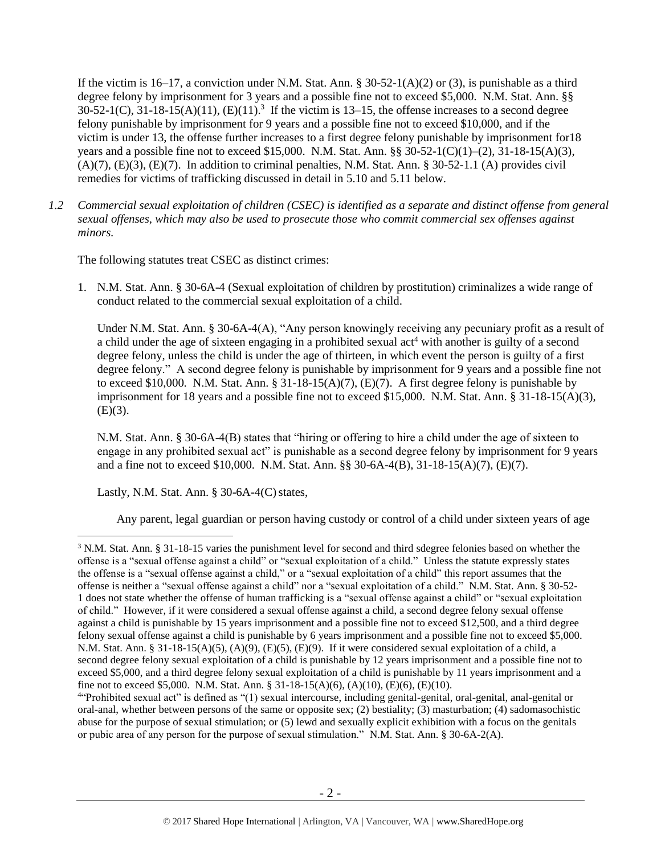If the victim is 16–17, a conviction under N.M. Stat. Ann. § 30-52-1(A)(2) or (3), is punishable as a third degree felony by imprisonment for 3 years and a possible fine not to exceed \$5,000. N.M. Stat. Ann. §§  $30-52-1(C)$ ,  $31-18-15(A)(11)$ ,  $(E)(11)$ .<sup>3</sup> If the victim is 13–15, the offense increases to a second degree felony punishable by imprisonment for 9 years and a possible fine not to exceed \$10,000, and if the victim is under 13, the offense further increases to a first degree felony punishable by imprisonment for18 years and a possible fine not to exceed \$15,000. N.M. Stat. Ann. §§ 30-52-1(C)(1)–(2), 31-18-15(A)(3),  $(A)(7)$ ,  $(E)(3)$ ,  $(E)(7)$ . In addition to criminal penalties, N.M. Stat. Ann. § 30-52-1.1 (A) provides civil remedies for victims of trafficking discussed in detail in 5.10 and 5.11 below.

<span id="page-1-1"></span>*1.2 Commercial sexual exploitation of children (CSEC) is identified as a separate and distinct offense from general sexual offenses, which may also be used to prosecute those who commit commercial sex offenses against minors.*

The following statutes treat CSEC as distinct crimes:

1. N.M. Stat. Ann. § 30-6A-4 (Sexual exploitation of children by prostitution) criminalizes a wide range of conduct related to the commercial sexual exploitation of a child.

<span id="page-1-0"></span>Under N.M. Stat. Ann. § 30-6A-4(A), "Any person knowingly receiving any pecuniary profit as a result of a child under the age of sixteen engaging in a prohibited sexual act<sup>4</sup> with another is guilty of a second degree felony, unless the child is under the age of thirteen, in which event the person is guilty of a first degree felony." A second degree felony is punishable by imprisonment for 9 years and a possible fine not to exceed \$10,000. N.M. Stat. Ann. § 31-18-15(A)(7), (E)(7). A first degree felony is punishable by imprisonment for 18 years and a possible fine not to exceed \$15,000. N.M. Stat. Ann. § 31-18-15(A)(3),  $(E)(3)$ .

N.M. Stat. Ann. § 30-6A-4(B) states that "hiring or offering to hire a child under the age of sixteen to engage in any prohibited sexual act" is punishable as a second degree felony by imprisonment for 9 years and a fine not to exceed \$10,000. N.M. Stat. Ann. §§ 30-6A-4(B), 31-18-15(A)(7), (E)(7).

Lastly, N.M. Stat. Ann.  $\S$  30-6A-4(C) states,

 $\overline{a}$ 

Any parent, legal guardian or person having custody or control of a child under sixteen years of age

<sup>3</sup> N.M. Stat. Ann. § 31-18-15 varies the punishment level for second and third sdegree felonies based on whether the offense is a "sexual offense against a child" or "sexual exploitation of a child." Unless the statute expressly states the offense is a "sexual offense against a child," or a "sexual exploitation of a child" this report assumes that the offense is neither a "sexual offense against a child" nor a "sexual exploitation of a child." N.M. Stat. Ann. § 30-52- 1 does not state whether the offense of human trafficking is a "sexual offense against a child" or "sexual exploitation of child." However, if it were considered a sexual offense against a child, a second degree felony sexual offense against a child is punishable by 15 years imprisonment and a possible fine not to exceed \$12,500, and a third degree felony sexual offense against a child is punishable by 6 years imprisonment and a possible fine not to exceed \$5,000. N.M. Stat. Ann. § 31-18-15(A)(5), (A)(9), (E)(5), (E)(9). If it were considered sexual exploitation of a child, a second degree felony sexual exploitation of a child is punishable by 12 years imprisonment and a possible fine not to exceed \$5,000, and a third degree felony sexual exploitation of a child is punishable by 11 years imprisonment and a fine not to exceed \$5,000. N.M. Stat. Ann. § 31-18-15(A)(6), (A)(10), (E)(6), (E)(10).

<sup>4</sup> "Prohibited sexual act" is defined as "(1) sexual intercourse, including genital-genital, oral-genital, anal-genital or oral-anal, whether between persons of the same or opposite sex; (2) bestiality; (3) masturbation; (4) sadomasochistic abuse for the purpose of sexual stimulation; or (5) lewd and sexually explicit exhibition with a focus on the genitals or pubic area of any person for the purpose of sexual stimulation." N.M. Stat. Ann. § 30-6A-2(A).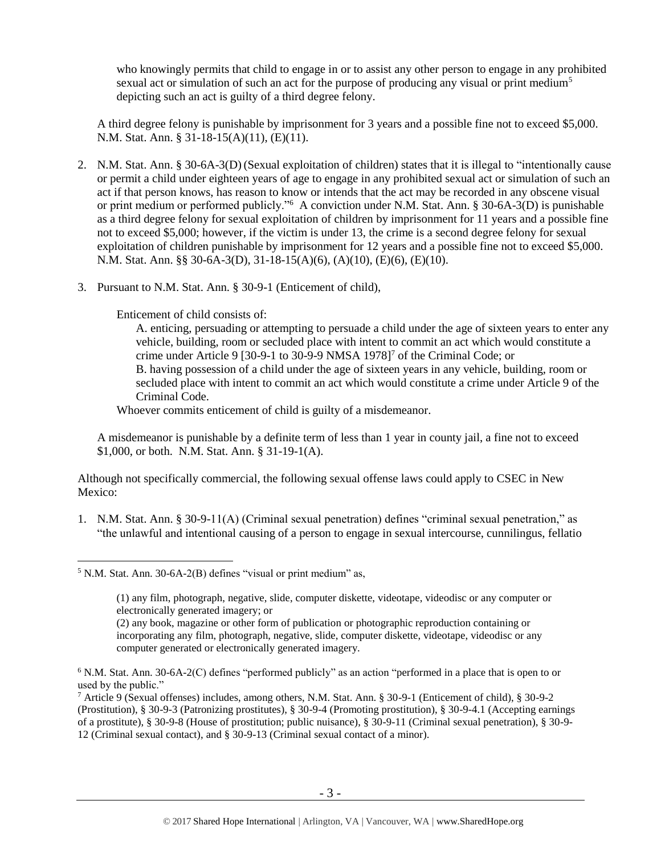who knowingly permits that child to engage in or to assist any other person to engage in any prohibited sexual act or simulation of such an act for the purpose of producing any visual or print medium<sup>5</sup> depicting such an act is guilty of a third degree felony.

A third degree felony is punishable by imprisonment for 3 years and a possible fine not to exceed \$5,000. N.M. Stat. Ann. § 31-18-15(A)(11), (E)(11).

- 2. N.M. Stat. Ann. § 30-6A-3(D) (Sexual exploitation of children) states that it is illegal to "intentionally cause or permit a child under eighteen years of age to engage in any prohibited sexual act or simulation of such an act if that person knows, has reason to know or intends that the act may be recorded in any obscene visual or print medium or performed publicly."<sup>6</sup> A conviction under N.M. Stat. Ann. § 30-6A-3(D) is punishable as a third degree felony for sexual exploitation of children by imprisonment for 11 years and a possible fine not to exceed \$5,000; however, if the victim is under 13, the crime is a second degree felony for sexual exploitation of children punishable by imprisonment for 12 years and a possible fine not to exceed \$5,000. N.M. Stat. Ann. §§ 30-6A-3(D), 31-18-15(A)(6), (A)(10), (E)(6), (E)(10).
- 3. Pursuant to N.M. Stat. Ann. § 30-9-1 (Enticement of child),

Enticement of child consists of:

<span id="page-2-0"></span>A. enticing, persuading or attempting to persuade a child under the age of sixteen years to enter any vehicle, building, room or secluded place with intent to commit an act which would constitute a crime under Article 9 [30-9-1 to 30-9-9 NMSA 1978]<sup>7</sup> of the Criminal Code; or B. having possession of a child under the age of sixteen years in any vehicle, building, room or secluded place with intent to commit an act which would constitute a crime under Article 9 of the Criminal Code.

Whoever commits enticement of child is guilty of a misdemeanor.

A misdemeanor is punishable by a definite term of less than 1 year in county jail, a fine not to exceed \$1,000, or both. N.M. Stat. Ann. § 31-19-1(A).

Although not specifically commercial, the following sexual offense laws could apply to CSEC in New Mexico:

1. N.M. Stat. Ann. § 30-9-11(A) (Criminal sexual penetration) defines "criminal sexual penetration," as "the unlawful and intentional causing of a person to engage in sexual intercourse, cunnilingus, fellatio

 $5$  N.M. Stat. Ann. 30-6A-2(B) defines "visual or print medium" as,

<sup>(1)</sup> any film, photograph, negative, slide, computer diskette, videotape, videodisc or any computer or electronically generated imagery; or

<sup>(2)</sup> any book, magazine or other form of publication or photographic reproduction containing or incorporating any film, photograph, negative, slide, computer diskette, videotape, videodisc or any computer generated or electronically generated imagery.

<sup>6</sup> N.M. Stat. Ann. 30-6A-2(C) defines "performed publicly" as an action "performed in a place that is open to or used by the public."

<sup>7</sup> Article 9 (Sexual offenses) includes, among others, N.M. Stat. Ann. § 30-9-1 (Enticement of child), § 30-9-2 (Prostitution), § 30-9-3 (Patronizing prostitutes), § 30-9-4 (Promoting prostitution), § 30-9-4.1 (Accepting earnings of a prostitute), § 30-9-8 (House of prostitution; public nuisance), § 30-9-11 (Criminal sexual penetration), § 30-9- 12 (Criminal sexual contact), and § 30-9-13 (Criminal sexual contact of a minor).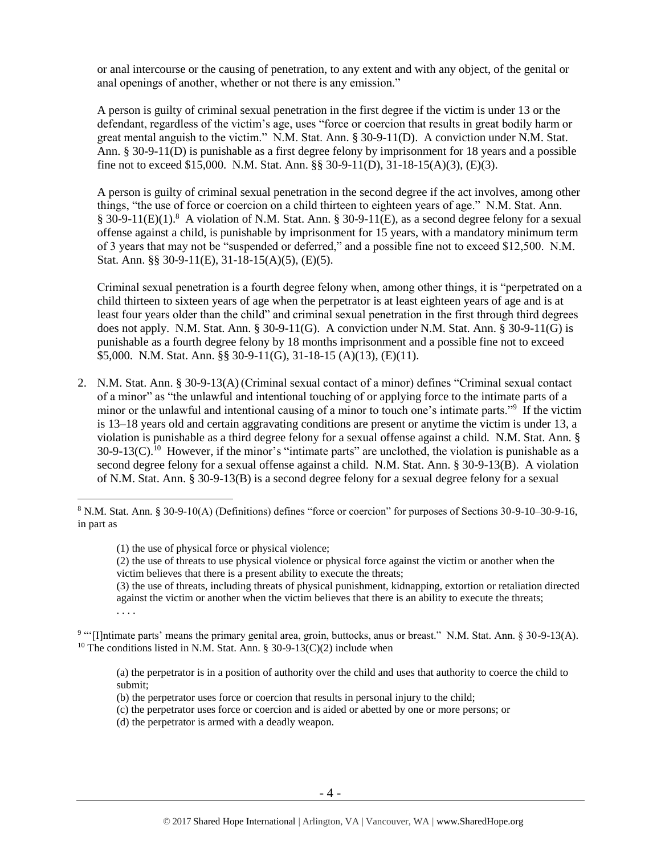or anal intercourse or the causing of penetration, to any extent and with any object, of the genital or anal openings of another, whether or not there is any emission."

A person is guilty of criminal sexual penetration in the first degree if the victim is under 13 or the defendant, regardless of the victim's age, uses "force or coercion that results in great bodily harm or great mental anguish to the victim." N.M. Stat. Ann. § 30-9-11(D). A conviction under N.M. Stat. Ann. § 30-9-11(D) is punishable as a first degree felony by imprisonment for 18 years and a possible fine not to exceed \$15,000. N.M. Stat. Ann. §§ 30-9-11(D),  $31-18-15(A)(3)$ , (E)(3).

A person is guilty of criminal sexual penetration in the second degree if the act involves, among other things, "the use of force or coercion on a child thirteen to eighteen years of age." N.M. Stat. Ann. § 30-9-11(E)(1).<sup>8</sup> A violation of N.M. Stat. Ann. § 30-9-11(E), as a second degree felony for a sexual offense against a child, is punishable by imprisonment for 15 years, with a mandatory minimum term of 3 years that may not be "suspended or deferred," and a possible fine not to exceed \$12,500. N.M. Stat. Ann. §§ 30-9-11(E), 31-18-15(A)(5), (E)(5).

Criminal sexual penetration is a fourth degree felony when, among other things, it is "perpetrated on a child thirteen to sixteen years of age when the perpetrator is at least eighteen years of age and is at least four years older than the child" and criminal sexual penetration in the first through third degrees does not apply. N.M. Stat. Ann. § 30-9-11(G). A conviction under N.M. Stat. Ann. § 30-9-11(G) is punishable as a fourth degree felony by 18 months imprisonment and a possible fine not to exceed \$5,000. N.M. Stat. Ann. §§ 30-9-11(G), 31-18-15 (A)(13), (E)(11).

2. N.M. Stat. Ann. § 30-9-13(A) (Criminal sexual contact of a minor) defines "Criminal sexual contact of a minor" as "the unlawful and intentional touching of or applying force to the intimate parts of a minor or the unlawful and intentional causing of a minor to touch one's intimate parts."<sup>9</sup> If the victim is 13–18 years old and certain aggravating conditions are present or anytime the victim is under 13, a violation is punishable as a third degree felony for a sexual offense against a child. N.M. Stat. Ann. §  $30-9-13(C)$ .<sup>10</sup> However, if the minor's "intimate parts" are unclothed, the violation is punishable as a second degree felony for a sexual offense against a child. N.M. Stat. Ann. § 30-9-13(B). A violation of N.M. Stat. Ann. § 30-9-13(B) is a second degree felony for a sexual degree felony for a sexual

 $\overline{a}$ 

(3) the use of threats, including threats of physical punishment, kidnapping, extortion or retaliation directed against the victim or another when the victim believes that there is an ability to execute the threats; . . . .

(a) the perpetrator is in a position of authority over the child and uses that authority to coerce the child to submit;

- (b) the perpetrator uses force or coercion that results in personal injury to the child;
- (c) the perpetrator uses force or coercion and is aided or abetted by one or more persons; or
- (d) the perpetrator is armed with a deadly weapon.

<sup>8</sup> N.M. Stat. Ann. § 30-9-10(A) (Definitions) defines "force or coercion" for purposes of Sections 30-9-10–30-9-16, in part as

<sup>(1)</sup> the use of physical force or physical violence;

<sup>(2)</sup> the use of threats to use physical violence or physical force against the victim or another when the victim believes that there is a present ability to execute the threats;

<sup>9</sup> "'[I]ntimate parts' means the primary genital area, groin, buttocks, anus or breast." N.M. Stat. Ann. § 30-9-13(A). <sup>10</sup> The conditions listed in N.M. Stat. Ann. § 30-9-13(C)(2) include when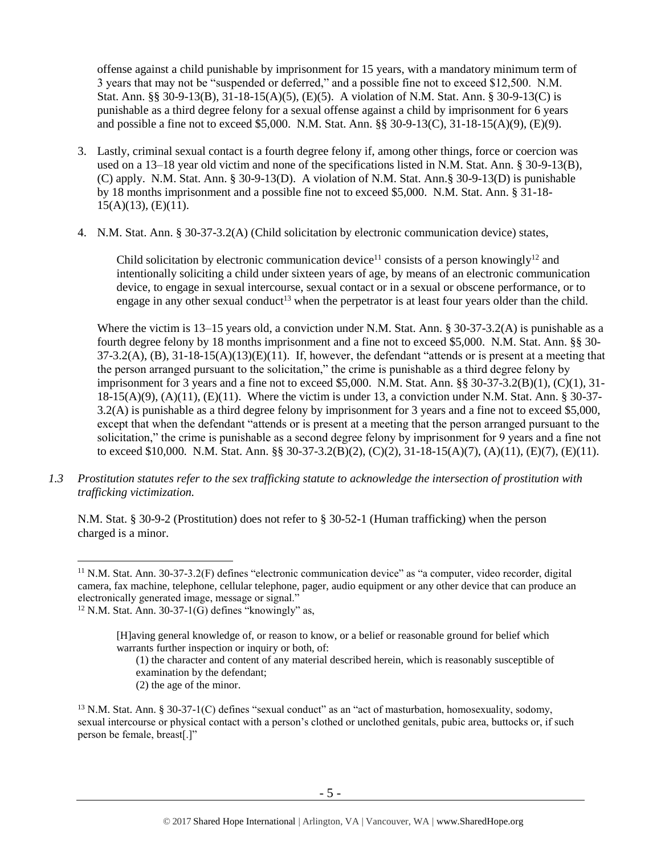offense against a child punishable by imprisonment for 15 years, with a mandatory minimum term of 3 years that may not be "suspended or deferred," and a possible fine not to exceed \$12,500. N.M. Stat. Ann. §§ 30-9-13(B), 31-18-15(A)(5), (E)(5). A violation of N.M. Stat. Ann. § 30-9-13(C) is punishable as a third degree felony for a sexual offense against a child by imprisonment for 6 years and possible a fine not to exceed \$5,000. N.M. Stat. Ann. §§ 30-9-13(C), 31-18-15(A)(9), (E)(9).

- 3. Lastly, criminal sexual contact is a fourth degree felony if, among other things, force or coercion was used on a 13–18 year old victim and none of the specifications listed in N.M. Stat. Ann. § 30-9-13(B), (C) apply. N.M. Stat. Ann. § 30-9-13(D). A violation of N.M. Stat. Ann.§ 30-9-13(D) is punishable by 18 months imprisonment and a possible fine not to exceed \$5,000. N.M. Stat. Ann. § 31-18-  $15(A)(13)$ , (E)(11).
- 4. N.M. Stat. Ann. § 30-37-3.2(A) (Child solicitation by electronic communication device) states,

<span id="page-4-0"></span>Child solicitation by electronic communication device<sup>11</sup> consists of a person knowingly<sup>12</sup> and intentionally soliciting a child under sixteen years of age, by means of an electronic communication device, to engage in sexual intercourse, sexual contact or in a sexual or obscene performance, or to engage in any other sexual conduct<sup>13</sup> when the perpetrator is at least four years older than the child.

Where the victim is 13–15 years old, a conviction under N.M. Stat. Ann. § 30-37-3.2(A) is punishable as a fourth degree felony by 18 months imprisonment and a fine not to exceed \$5,000. N.M. Stat. Ann. §§ 30-  $37-3.2(A)$ ,  $(B)$ ,  $31-18-15(A)(13)(E)(11)$ . If, however, the defendant "attends or is present at a meeting that the person arranged pursuant to the solicitation," the crime is punishable as a third degree felony by imprisonment for 3 years and a fine not to exceed \$5,000. N.M. Stat. Ann. §§ 30-37-3.2(B)(1), (C)(1), 31- 18-15(A)(9), (A)(11), (E)(11). Where the victim is under 13, a conviction under N.M. Stat. Ann. § 30-37- 3.2(A) is punishable as a third degree felony by imprisonment for 3 years and a fine not to exceed \$5,000, except that when the defendant "attends or is present at a meeting that the person arranged pursuant to the solicitation," the crime is punishable as a second degree felony by imprisonment for 9 years and a fine not to exceed \$10,000. N.M. Stat. Ann. §§ 30-37-3.2(B)(2), (C)(2), 31-18-15(A)(7), (A)(11), (E)(7), (E)(11).

*1.3 Prostitution statutes refer to the sex trafficking statute to acknowledge the intersection of prostitution with trafficking victimization.* 

N.M. Stat. § 30-9-2 (Prostitution) does not refer to § 30-52-1 (Human trafficking) when the person charged is a minor.

 $\overline{a}$ 

(1) the character and content of any material described herein, which is reasonably susceptible of examination by the defendant;

(2) the age of the minor.

<sup>11</sup> N.M. Stat. Ann. 30-37-3.2(F) defines "electronic communication device" as "a computer, video recorder, digital camera, fax machine, telephone, cellular telephone, pager, audio equipment or any other device that can produce an electronically generated image, message or signal."

 $12$  N.M. Stat. Ann. 30-37-1(G) defines "knowingly" as,

<sup>[</sup>H]aving general knowledge of, or reason to know, or a belief or reasonable ground for belief which warrants further inspection or inquiry or both, of:

<sup>13</sup> N.M. Stat. Ann. § 30-37-1(C) defines "sexual conduct" as an "act of masturbation, homosexuality, sodomy, sexual intercourse or physical contact with a person's clothed or unclothed genitals, pubic area, buttocks or, if such person be female, breast[.]"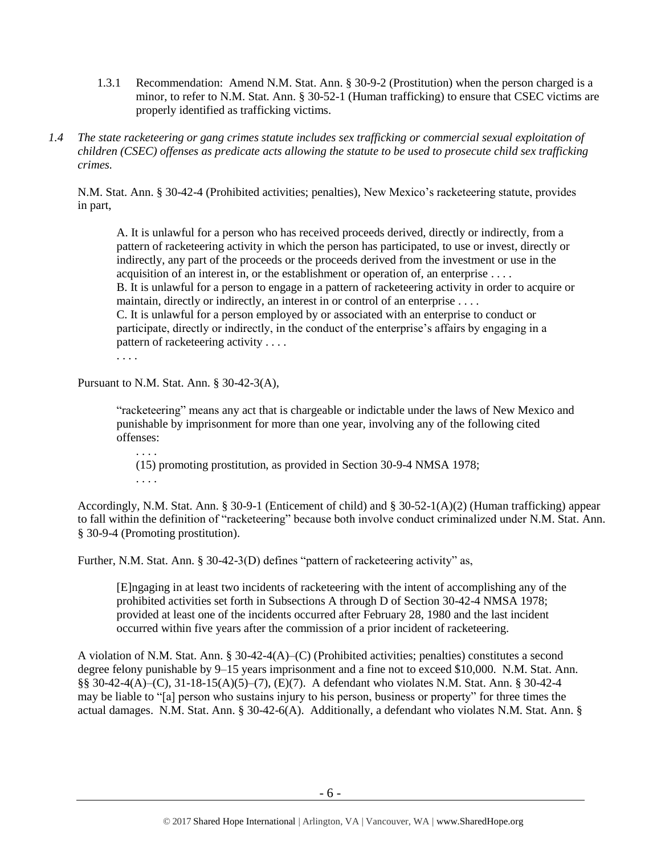- 1.3.1 Recommendation: Amend N.M. Stat. Ann. § 30-9-2 (Prostitution) when the person charged is a minor, to refer to N.M. Stat. Ann. § 30-52-1 (Human trafficking) to ensure that CSEC victims are properly identified as trafficking victims.
- *1.4 The state racketeering or gang crimes statute includes sex trafficking or commercial sexual exploitation of children (CSEC) offenses as predicate acts allowing the statute to be used to prosecute child sex trafficking crimes.*

N.M. Stat. Ann. § 30-42-4 (Prohibited activities; penalties), New Mexico's racketeering statute, provides in part,

A. It is unlawful for a person who has received proceeds derived, directly or indirectly, from a pattern of racketeering activity in which the person has participated, to use or invest, directly or indirectly, any part of the proceeds or the proceeds derived from the investment or use in the acquisition of an interest in, or the establishment or operation of, an enterprise . . . . B. It is unlawful for a person to engage in a pattern of racketeering activity in order to acquire or maintain, directly or indirectly, an interest in or control of an enterprise . . . . C. It is unlawful for a person employed by or associated with an enterprise to conduct or participate, directly or indirectly, in the conduct of the enterprise's affairs by engaging in a pattern of racketeering activity . . . .

. . . .

Pursuant to N.M. Stat. Ann. § 30-42-3(A),

"racketeering" means any act that is chargeable or indictable under the laws of New Mexico and punishable by imprisonment for more than one year, involving any of the following cited offenses:

. . . . (15) promoting prostitution, as provided in Section 30-9-4 NMSA 1978; . . . .

Accordingly, N.M. Stat. Ann. § 30-9-1 (Enticement of child) and § 30-52-1(A)(2) (Human trafficking) appear to fall within the definition of "racketeering" because both involve conduct criminalized under N.M. Stat. Ann. § 30-9-4 (Promoting prostitution).

Further, N.M. Stat. Ann. § 30-42-3(D) defines "pattern of racketeering activity" as,

[E]ngaging in at least two incidents of racketeering with the intent of accomplishing any of the prohibited activities set forth in Subsections A through D of Section 30-42-4 NMSA 1978; provided at least one of the incidents occurred after February 28, 1980 and the last incident occurred within five years after the commission of a prior incident of racketeering.

A violation of N.M. Stat. Ann. § 30-42-4(A)–(C) (Prohibited activities; penalties) constitutes a second degree felony punishable by 9–15 years imprisonment and a fine not to exceed \$10,000. N.M. Stat. Ann. §§ 30-42-4(A)–(C), 31-18-15(A)(5)–(7), (E)(7). A defendant who violates N.M. Stat. Ann. § 30-42-4 may be liable to "[a] person who sustains injury to his person, business or property" for three times the actual damages. N.M. Stat. Ann. § 30-42-6(A). Additionally, a defendant who violates N.M. Stat. Ann. §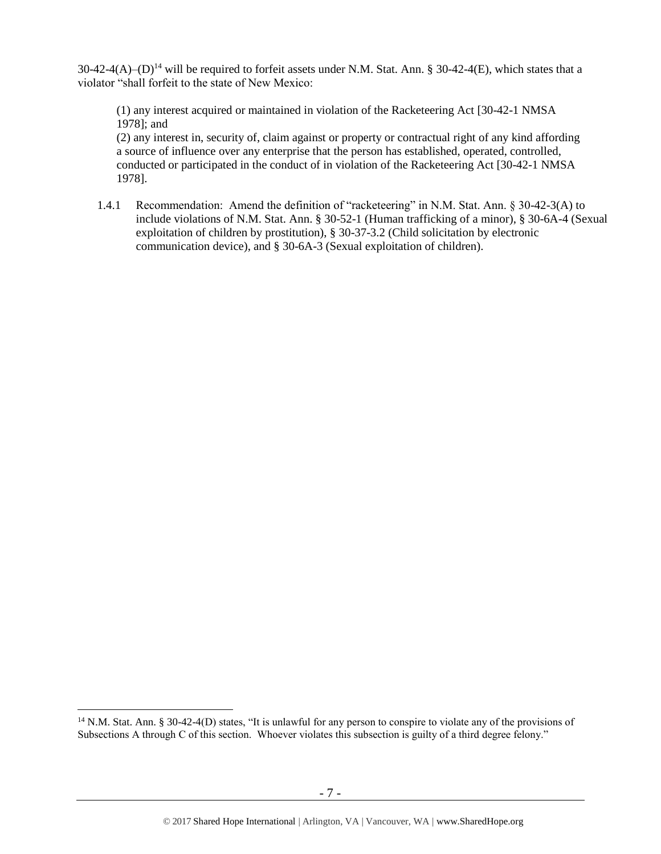$30-42-4(A)$ –(D)<sup>14</sup> will be required to forfeit assets under N.M. Stat. Ann. § 30-42-4(E), which states that a violator "shall forfeit to the state of New Mexico:

(1) any interest acquired or maintained in violation of the Racketeering Act [30-42-1 NMSA 1978]; and

(2) any interest in, security of, claim against or property or contractual right of any kind affording a source of influence over any enterprise that the person has established, operated, controlled, conducted or participated in the conduct of in violation of the Racketeering Act [30-42-1 NMSA 1978].

1.4.1 Recommendation: Amend the definition of "racketeering" in N.M. Stat. Ann. § 30-42-3(A) to include violations of N.M. Stat. Ann. § 30-52-1 (Human trafficking of a minor), § 30-6A-4 (Sexual exploitation of children by prostitution), § 30-37-3.2 (Child solicitation by electronic communication device), and § 30-6A-3 (Sexual exploitation of children).

<sup>&</sup>lt;sup>14</sup> N.M. Stat. Ann. § 30-42-4(D) states, "It is unlawful for any person to conspire to violate any of the provisions of Subsections A through C of this section. Whoever violates this subsection is guilty of a third degree felony."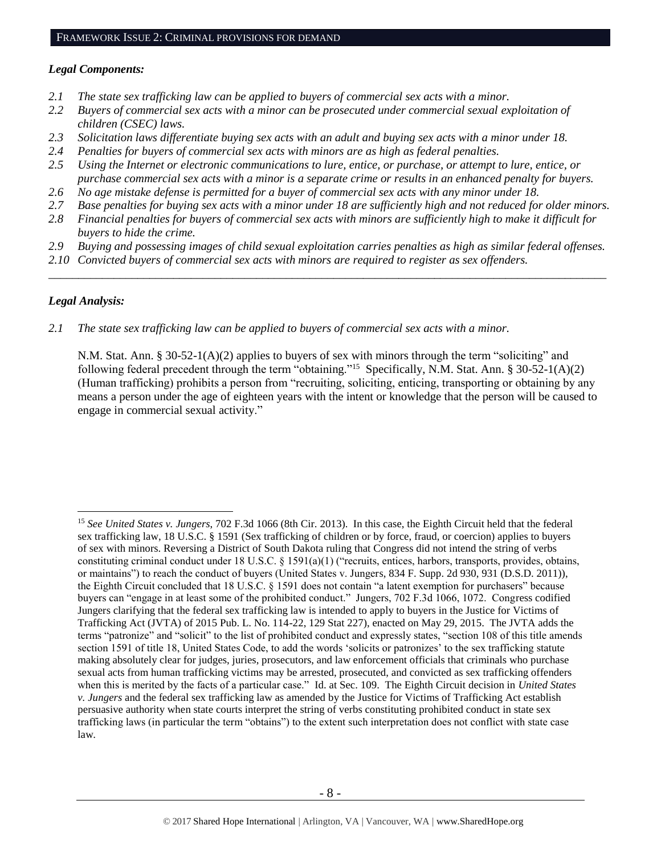#### *Legal Components:*

- *2.1 The state sex trafficking law can be applied to buyers of commercial sex acts with a minor.*
- *2.2 Buyers of commercial sex acts with a minor can be prosecuted under commercial sexual exploitation of children (CSEC) laws.*
- *2.3 Solicitation laws differentiate buying sex acts with an adult and buying sex acts with a minor under 18.*
- *2.4 Penalties for buyers of commercial sex acts with minors are as high as federal penalties.*
- *2.5 Using the Internet or electronic communications to lure, entice, or purchase, or attempt to lure, entice, or purchase commercial sex acts with a minor is a separate crime or results in an enhanced penalty for buyers.*
- *2.6 No age mistake defense is permitted for a buyer of commercial sex acts with any minor under 18.*
- *2.7 Base penalties for buying sex acts with a minor under 18 are sufficiently high and not reduced for older minors.*
- *2.8 Financial penalties for buyers of commercial sex acts with minors are sufficiently high to make it difficult for buyers to hide the crime.*
- *2.9 Buying and possessing images of child sexual exploitation carries penalties as high as similar federal offenses.*

\_\_\_\_\_\_\_\_\_\_\_\_\_\_\_\_\_\_\_\_\_\_\_\_\_\_\_\_\_\_\_\_\_\_\_\_\_\_\_\_\_\_\_\_\_\_\_\_\_\_\_\_\_\_\_\_\_\_\_\_\_\_\_\_\_\_\_\_\_\_\_\_\_\_\_\_\_\_\_\_\_\_\_\_\_\_\_\_\_\_\_\_\_\_

*2.10 Convicted buyers of commercial sex acts with minors are required to register as sex offenders.* 

#### *Legal Analysis:*

 $\overline{a}$ 

*2.1 The state sex trafficking law can be applied to buyers of commercial sex acts with a minor.*

N.M. Stat. Ann. § 30-52-1(A)(2) applies to buyers of sex with minors through the term "soliciting" and following federal precedent through the term "obtaining."<sup>15</sup> Specifically, N.M. Stat. Ann. § 30-52-1(A)(2) (Human trafficking) prohibits a person from "recruiting, soliciting, enticing, transporting or obtaining by any means a person under the age of eighteen years with the intent or knowledge that the person will be caused to engage in commercial sexual activity."

<sup>15</sup> *See United States v. Jungers*, 702 F.3d 1066 (8th Cir. 2013). In this case, the Eighth Circuit held that the federal sex trafficking law, 18 U.S.C. § 1591 (Sex trafficking of children or by force, fraud, or coercion) applies to buyers of sex with minors. Reversing a District of South Dakota ruling that Congress did not intend the string of verbs constituting criminal conduct under 18 U.S.C. § 1591(a)(1) ("recruits, entices, harbors, transports, provides, obtains, or maintains") to reach the conduct of buyers (United States v. Jungers, 834 F. Supp. 2d 930, 931 (D.S.D. 2011)), the Eighth Circuit concluded that 18 U.S.C. § 1591 does not contain "a latent exemption for purchasers" because buyers can "engage in at least some of the prohibited conduct." Jungers, 702 F.3d 1066, 1072. Congress codified Jungers clarifying that the federal sex trafficking law is intended to apply to buyers in the Justice for Victims of Trafficking Act (JVTA) of 2015 Pub. L. No. 114-22, 129 Stat 227), enacted on May 29, 2015. The JVTA adds the terms "patronize" and "solicit" to the list of prohibited conduct and expressly states, "section 108 of this title amends section 1591 of title 18, United States Code, to add the words 'solicits or patronizes' to the sex trafficking statute making absolutely clear for judges, juries, prosecutors, and law enforcement officials that criminals who purchase sexual acts from human trafficking victims may be arrested, prosecuted, and convicted as sex trafficking offenders when this is merited by the facts of a particular case." Id. at Sec. 109. The Eighth Circuit decision in *United States v. Jungers* and the federal sex trafficking law as amended by the Justice for Victims of Trafficking Act establish persuasive authority when state courts interpret the string of verbs constituting prohibited conduct in state sex trafficking laws (in particular the term "obtains") to the extent such interpretation does not conflict with state case law.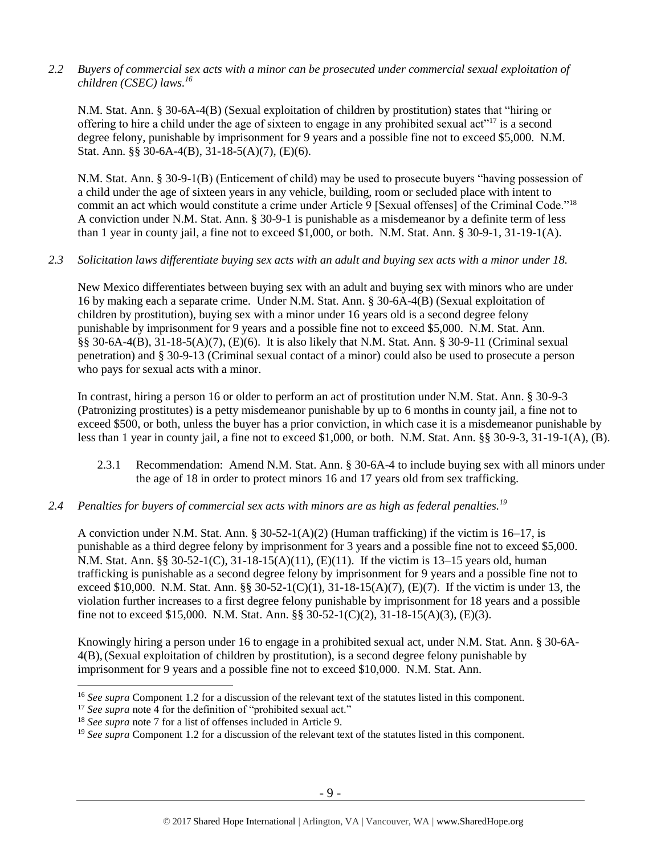*2.2 Buyers of commercial sex acts with a minor can be prosecuted under commercial sexual exploitation of children (CSEC) laws. 16*

N.M. Stat. Ann. § 30-6A-4(B) (Sexual exploitation of children by prostitution) states that "hiring or offering to hire a child under the age of sixteen to engage in any prohibited sexual act"<sup>17</sup> is a second degree felony, punishable by imprisonment for 9 years and a possible fine not to exceed \$5,000. N.M. Stat. Ann. §§ 30-6A-4(B), 31-18-5(A)(7), (E)(6).

N.M. Stat. Ann. § 30-9-1(B) (Enticement of child) may be used to prosecute buyers "having possession of a child under the age of sixteen years in any vehicle, building, room or secluded place with intent to commit an act which would constitute a crime under Article 9 [Sexual offenses] of the Criminal Code."<sup>18</sup> A conviction under N.M. Stat. Ann. § 30-9-1 is punishable as a misdemeanor by a definite term of less than 1 year in county jail, a fine not to exceed \$1,000, or both. N.M. Stat. Ann. § 30-9-1, 31-19-1(A).

## *2.3 Solicitation laws differentiate buying sex acts with an adult and buying sex acts with a minor under 18.*

New Mexico differentiates between buying sex with an adult and buying sex with minors who are under 16 by making each a separate crime. Under N.M. Stat. Ann. § 30-6A-4(B) (Sexual exploitation of children by prostitution), buying sex with a minor under 16 years old is a second degree felony punishable by imprisonment for 9 years and a possible fine not to exceed \$5,000. N.M. Stat. Ann. §§ 30-6A-4(B), 31-18-5(A)(7), (E)(6). It is also likely that N.M. Stat. Ann. § 30-9-11 (Criminal sexual penetration) and § 30-9-13 (Criminal sexual contact of a minor) could also be used to prosecute a person who pays for sexual acts with a minor.

In contrast, hiring a person 16 or older to perform an act of prostitution under N.M. Stat. Ann. § 30-9-3 (Patronizing prostitutes) is a petty misdemeanor punishable by up to 6 months in county jail, a fine not to exceed \$500, or both, unless the buyer has a prior conviction, in which case it is a misdemeanor punishable by less than 1 year in county jail, a fine not to exceed \$1,000, or both. N.M. Stat. Ann. §§ 30-9-3, 31-19-1(A), (B).

- 2.3.1 Recommendation: Amend N.M. Stat. Ann. § 30-6A-4 to include buying sex with all minors under the age of 18 in order to protect minors 16 and 17 years old from sex trafficking.
- *2.4 Penalties for buyers of commercial sex acts with minors are as high as federal penalties.<sup>19</sup>*

A conviction under N.M. Stat. Ann. § 30-52-1(A)(2) (Human trafficking) if the victim is 16–17, is punishable as a third degree felony by imprisonment for 3 years and a possible fine not to exceed \$5,000. N.M. Stat. Ann. §§ 30-52-1(C), 31-18-15(A)(11), (E)(11). If the victim is 13–15 years old, human trafficking is punishable as a second degree felony by imprisonment for 9 years and a possible fine not to exceed \$10,000. N.M. Stat. Ann. §§ 30-52-1(C)(1), 31-18-15(A)(7), (E)(7). If the victim is under 13, the violation further increases to a first degree felony punishable by imprisonment for 18 years and a possible fine not to exceed \$15,000. N.M. Stat. Ann. §§ 30-52-1(C)(2), 31-18-15(A)(3), (E)(3).

Knowingly hiring a person under 16 to engage in a prohibited sexual act, under N.M. Stat. Ann. § 30-6A-4(B),(Sexual exploitation of children by prostitution), is a second degree felony punishable by imprisonment for 9 years and a possible fine not to exceed \$10,000. N.M. Stat. Ann.

<sup>16</sup> *See supra* Component 1.2 for a discussion of the relevant text of the statutes listed in this component.

<sup>&</sup>lt;sup>17</sup> *See supra* note [4](#page-1-0) for the definition of "prohibited sexual act."

<sup>18</sup> *See supra* note [7](#page-2-0) for a list of offenses included in Article 9.

<sup>19</sup> *See supra* Component 1.2 for a discussion of the relevant text of the statutes listed in this component.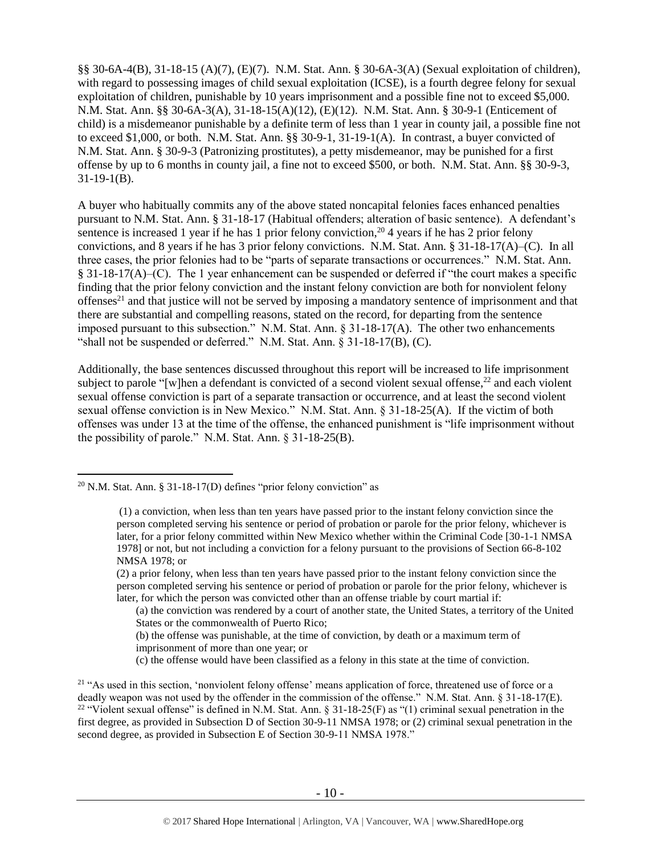§§ 30-6A-4(B), 31-18-15 (A)(7), (E)(7). N.M. Stat. Ann. § 30-6A-3(A) (Sexual exploitation of children), with regard to possessing images of child sexual exploitation (ICSE), is a fourth degree felony for sexual exploitation of children, punishable by 10 years imprisonment and a possible fine not to exceed \$5,000. N.M. Stat. Ann. §§ 30-6A-3(A), 31-18-15(A)(12), (E)(12). N.M. Stat. Ann. § 30-9-1 (Enticement of child) is a misdemeanor punishable by a definite term of less than 1 year in county jail, a possible fine not to exceed \$1,000, or both. N.M. Stat. Ann. §§ 30-9-1, 31-19-1(A). In contrast, a buyer convicted of N.M. Stat. Ann. § 30-9-3 (Patronizing prostitutes), a petty misdemeanor, may be punished for a first offense by up to 6 months in county jail, a fine not to exceed \$500, or both. N.M. Stat. Ann. §§ 30-9-3, 31-19-1(B).

A buyer who habitually commits any of the above stated noncapital felonies faces enhanced penalties pursuant to N.M. Stat. Ann. § 31-18-17 (Habitual offenders; alteration of basic sentence). A defendant's sentence is increased 1 year if he has 1 prior felony conviction,<sup>20</sup> 4 years if he has 2 prior felony convictions, and 8 years if he has 3 prior felony convictions. N.M. Stat. Ann. § 31-18-17(A)–(C). In all three cases, the prior felonies had to be "parts of separate transactions or occurrences." N.M. Stat. Ann. § 31-18-17(A)–(C). The 1 year enhancement can be suspended or deferred if "the court makes a specific finding that the prior felony conviction and the instant felony conviction are both for nonviolent felony offenses<sup>21</sup> and that justice will not be served by imposing a mandatory sentence of imprisonment and that there are substantial and compelling reasons, stated on the record, for departing from the sentence imposed pursuant to this subsection." N.M. Stat. Ann.  $\S 31-18-17(A)$ . The other two enhancements "shall not be suspended or deferred." N.M. Stat. Ann. § 31-18-17(B), (C).

Additionally, the base sentences discussed throughout this report will be increased to life imprisonment subject to parole "[w]hen a defendant is convicted of a second violent sexual offense, $^{22}$  and each violent sexual offense conviction is part of a separate transaction or occurrence, and at least the second violent sexual offense conviction is in New Mexico." N.M. Stat. Ann. § 31-18-25(A). If the victim of both offenses was under 13 at the time of the offense, the enhanced punishment is "life imprisonment without the possibility of parole." N.M. Stat. Ann. § 31-18-25(B).

- (b) the offense was punishable, at the time of conviction, by death or a maximum term of imprisonment of more than one year; or
- (c) the offense would have been classified as a felony in this state at the time of conviction.

<sup>&</sup>lt;sup>20</sup> N.M. Stat. Ann. § 31-18-17(D) defines "prior felony conviction" as

<sup>(1)</sup> a conviction, when less than ten years have passed prior to the instant felony conviction since the person completed serving his sentence or period of probation or parole for the prior felony, whichever is later, for a prior felony committed within New Mexico whether within the Criminal Code [30-1-1 NMSA 1978] or not, but not including a conviction for a felony pursuant to the provisions of Section 66-8-102 NMSA 1978; or

<sup>(2)</sup> a prior felony, when less than ten years have passed prior to the instant felony conviction since the person completed serving his sentence or period of probation or parole for the prior felony, whichever is later, for which the person was convicted other than an offense triable by court martial if:

<sup>(</sup>a) the conviction was rendered by a court of another state, the United States, a territory of the United States or the commonwealth of Puerto Rico;

<sup>&</sup>lt;sup>21</sup> "As used in this section, 'nonviolent felony offense' means application of force, threatened use of force or a deadly weapon was not used by the offender in the commission of the offense." N.M. Stat. Ann. § 31-18-17(E). <sup>22</sup> "Violent sexual offense" is defined in N.M. Stat. Ann.  $\S 31-18-25(F)$  as "(1) criminal sexual penetration in the first degree, as provided in Subsection D of Section 30-9-11 NMSA 1978; or (2) criminal sexual penetration in the second degree, as provided in Subsection E of Section 30-9-11 NMSA 1978."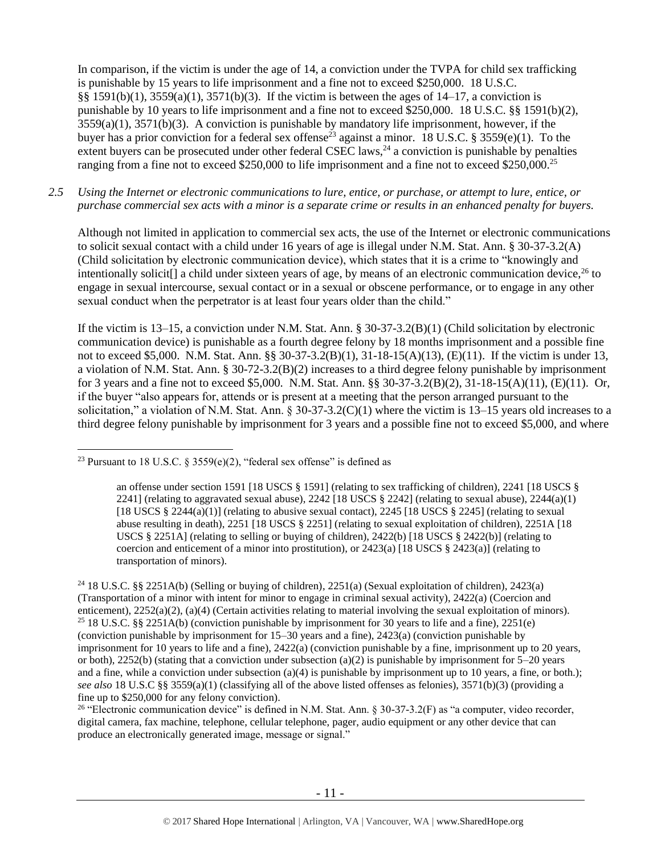<span id="page-10-0"></span>In comparison, if the victim is under the age of 14, a conviction under the TVPA for child sex trafficking is punishable by 15 years to life imprisonment and a fine not to exceed \$250,000. 18 U.S.C.  $§§ 1591(b)(1), 3559(a)(1), 3571(b)(3).$  If the victim is between the ages of  $14-17$ , a conviction is punishable by 10 years to life imprisonment and a fine not to exceed \$250,000. 18 U.S.C. §§ 1591(b)(2), 3559(a)(1), 3571(b)(3). A conviction is punishable by mandatory life imprisonment, however, if the buyer has a prior conviction for a federal sex offense<sup>23</sup> against a minor. 18 U.S.C. § 3559(e)(1). To the extent buyers can be prosecuted under other federal CSEC laws, $^{24}$  a conviction is punishable by penalties ranging from a fine not to exceed \$250,000 to life imprisonment and a fine not to exceed \$250,000.<sup>25</sup>

#### *2.5 Using the Internet or electronic communications to lure, entice, or purchase, or attempt to lure, entice, or purchase commercial sex acts with a minor is a separate crime or results in an enhanced penalty for buyers.*

Although not limited in application to commercial sex acts, the use of the Internet or electronic communications to solicit sexual contact with a child under 16 years of age is illegal under N.M. Stat. Ann. § 30-37-3.2(A) (Child solicitation by electronic communication device), which states that it is a crime to "knowingly and intentionally solicit<sup>[]</sup> a child under sixteen years of age, by means of an electronic communication device,  $^{26}$  to engage in sexual intercourse, sexual contact or in a sexual or obscene performance, or to engage in any other sexual conduct when the perpetrator is at least four years older than the child."

If the victim is 13–15, a conviction under N.M. Stat. Ann. § 30-37-3.2(B)(1) (Child solicitation by electronic communication device) is punishable as a fourth degree felony by 18 months imprisonment and a possible fine not to exceed \$5,000. N.M. Stat. Ann. §§ 30-37-3.2(B)(1), 31-18-15(A)(13), (E)(11). If the victim is under 13, a violation of N.M. Stat. Ann. § 30-72-3.2(B)(2) increases to a third degree felony punishable by imprisonment for 3 years and a fine not to exceed \$5,000. N.M. Stat. Ann. §§ 30-37-3.2(B)(2), 31-18-15(A)(11), (E)(11). Or, if the buyer "also appears for, attends or is present at a meeting that the person arranged pursuant to the solicitation," a violation of N.M. Stat. Ann.  $\S 30-37-3.2(C)(1)$  where the victim is 13–15 years old increases to a third degree felony punishable by imprisonment for 3 years and a possible fine not to exceed \$5,000, and where

 $\overline{a}$ 

<sup>26</sup> "Electronic communication device" is defined in N.M. Stat. Ann. § 30-37-3.2(F) as "a computer, video recorder, digital camera, fax machine, telephone, cellular telephone, pager, audio equipment or any other device that can produce an electronically generated image, message or signal."

<sup>&</sup>lt;sup>23</sup> Pursuant to 18 U.S.C. § 3559(e)(2), "federal sex offense" is defined as

an offense under section 1591 [18 USCS § 1591] (relating to sex trafficking of children), 2241 [18 USCS § 2241] (relating to aggravated sexual abuse),  $2242$  [18 USCS § 2242] (relating to sexual abuse),  $2244(a)(1)$ [18 USCS § 2244(a)(1)] (relating to abusive sexual contact), 2245 [18 USCS § 2245] (relating to sexual abuse resulting in death), 2251 [18 USCS § 2251] (relating to sexual exploitation of children), 2251A [18 USCS § 2251A] (relating to selling or buying of children),  $2422(b)$  [18 USCS § 2422(b)] (relating to coercion and enticement of a minor into prostitution), or  $2423(a)$  [18 USCS §  $2423(a)$ ] (relating to transportation of minors).

<sup>24</sup> 18 U.S.C. §§ 2251A(b) (Selling or buying of children), 2251(a) (Sexual exploitation of children), 2423(a) (Transportation of a minor with intent for minor to engage in criminal sexual activity), 2422(a) (Coercion and enticement), 2252(a)(2), (a)(4) (Certain activities relating to material involving the sexual exploitation of minors). <sup>25</sup> 18 U.S.C. §§ 2251A(b) (conviction punishable by imprisonment for 30 years to life and a fine), 2251(e) (conviction punishable by imprisonment for 15–30 years and a fine), 2423(a) (conviction punishable by imprisonment for 10 years to life and a fine), 2422(a) (conviction punishable by a fine, imprisonment up to 20 years, or both), 2252(b) (stating that a conviction under subsection (a)(2) is punishable by imprisonment for  $5-20$  years and a fine, while a conviction under subsection (a)(4) is punishable by imprisonment up to 10 years, a fine, or both.); *see also* 18 U.S.C §§ 3559(a)(1) (classifying all of the above listed offenses as felonies), 3571(b)(3) (providing a fine up to \$250,000 for any felony conviction).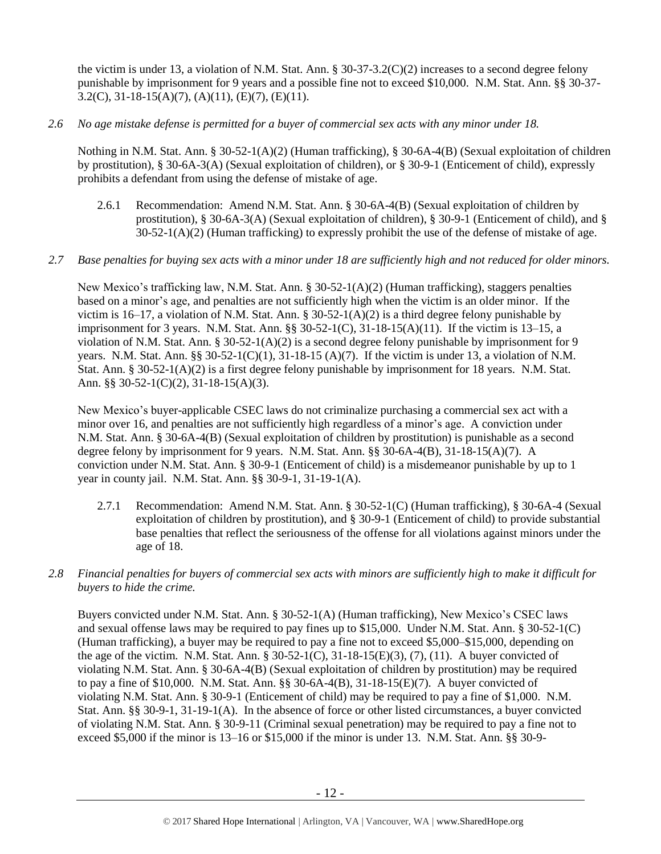the victim is under 13, a violation of N.M. Stat. Ann.  $\S 30-37-3.2(C)(2)$  increases to a second degree felony punishable by imprisonment for 9 years and a possible fine not to exceed \$10,000. N.M. Stat. Ann. §§ 30-37- 3.2(C), 31-18-15(A)(7), (A)(11), (E)(7), (E)(11).

*2.6 No age mistake defense is permitted for a buyer of commercial sex acts with any minor under 18.*

Nothing in N.M. Stat. Ann. § 30-52-1(A)(2) (Human trafficking), § 30-6A-4(B) (Sexual exploitation of children by prostitution), § 30-6A-3(A) (Sexual exploitation of children), or § 30-9-1 (Enticement of child), expressly prohibits a defendant from using the defense of mistake of age.

2.6.1 Recommendation: Amend N.M. Stat. Ann. § 30-6A-4(B) (Sexual exploitation of children by prostitution), § 30-6A-3(A) (Sexual exploitation of children), § 30-9-1 (Enticement of child), and §  $30-52-1(A)(2)$  (Human trafficking) to expressly prohibit the use of the defense of mistake of age.

## *2.7 Base penalties for buying sex acts with a minor under 18 are sufficiently high and not reduced for older minors.*

New Mexico's trafficking law, N.M. Stat. Ann. § 30-52-1(A)(2) (Human trafficking), staggers penalties based on a minor's age, and penalties are not sufficiently high when the victim is an older minor. If the victim is 16–17, a violation of N.M. Stat. Ann. § 30-52-1(A)(2) is a third degree felony punishable by imprisonment for 3 years. N.M. Stat. Ann.  $\S$ § 30-52-1(C), 31-18-15(A)(11). If the victim is 13–15, a violation of N.M. Stat. Ann. § 30-52-1(A)(2) is a second degree felony punishable by imprisonment for 9 years. N.M. Stat. Ann. §§ 30-52-1(C)(1), 31-18-15 (A)(7). If the victim is under 13, a violation of N.M. Stat. Ann. § 30-52-1(A)(2) is a first degree felony punishable by imprisonment for 18 years. N.M. Stat. Ann. §§ 30-52-1(C)(2), 31-18-15(A)(3).

New Mexico's buyer-applicable CSEC laws do not criminalize purchasing a commercial sex act with a minor over 16, and penalties are not sufficiently high regardless of a minor's age. A conviction under N.M. Stat. Ann. § 30-6A-4(B) (Sexual exploitation of children by prostitution) is punishable as a second degree felony by imprisonment for 9 years. N.M. Stat. Ann. §§ 30-6A-4(B), 31-18-15(A)(7). A conviction under N.M. Stat. Ann. § 30-9-1 (Enticement of child) is a misdemeanor punishable by up to 1 year in county jail. N.M. Stat. Ann. §§ 30-9-1, 31-19-1(A).

- 2.7.1 Recommendation: Amend N.M. Stat. Ann. § 30-52-1(C) (Human trafficking), § 30-6A-4 (Sexual exploitation of children by prostitution), and § 30-9-1 (Enticement of child) to provide substantial base penalties that reflect the seriousness of the offense for all violations against minors under the age of 18.
- *2.8 Financial penalties for buyers of commercial sex acts with minors are sufficiently high to make it difficult for buyers to hide the crime.*

Buyers convicted under N.M. Stat. Ann. § 30-52-1(A) (Human trafficking), New Mexico's CSEC laws and sexual offense laws may be required to pay fines up to \$15,000. Under N.M. Stat. Ann. § 30-52-1(C) (Human trafficking), a buyer may be required to pay a fine not to exceed \$5,000–\$15,000, depending on the age of the victim. N.M. Stat. Ann. §  $30-52-1(C)$ ,  $31-18-15(E)(3)$ ,  $(7)$ ,  $(11)$ . A buyer convicted of violating N.M. Stat. Ann. § 30-6A-4(B) (Sexual exploitation of children by prostitution) may be required to pay a fine of \$10,000. N.M. Stat. Ann. §§ 30-6A-4(B), 31-18-15(E)(7). A buyer convicted of violating N.M. Stat. Ann. § 30-9-1 (Enticement of child) may be required to pay a fine of \$1,000. N.M. Stat. Ann. §§ 30-9-1, 31-19-1(A). In the absence of force or other listed circumstances, a buyer convicted of violating N.M. Stat. Ann. § 30-9-11 (Criminal sexual penetration) may be required to pay a fine not to exceed \$5,000 if the minor is 13–16 or \$15,000 if the minor is under 13. N.M. Stat. Ann. §§ 30-9-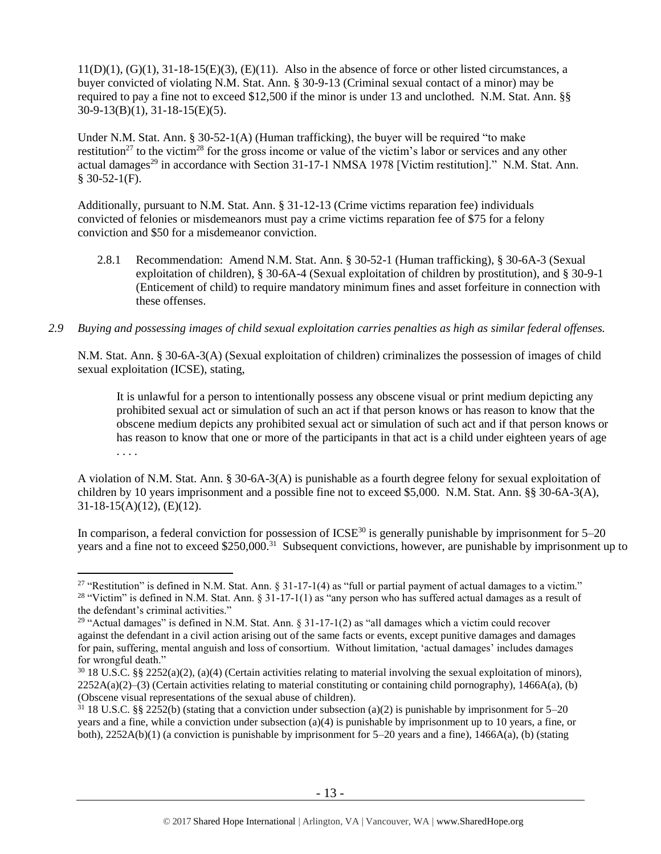$11(D)(1)$ ,  $(G)(1)$ ,  $31-18-15(E)(3)$ ,  $(E)(11)$ . Also in the absence of force or other listed circumstances, a buyer convicted of violating N.M. Stat. Ann. § 30-9-13 (Criminal sexual contact of a minor) may be required to pay a fine not to exceed \$12,500 if the minor is under 13 and unclothed. N.M. Stat. Ann. §§ 30-9-13(B)(1), 31-18-15(E)(5).

<span id="page-12-2"></span><span id="page-12-1"></span><span id="page-12-0"></span>Under N.M. Stat. Ann. § 30-52-1(A) (Human trafficking), the buyer will be required "to make restitution<sup>27</sup> to the victim<sup>28</sup> for the gross income or value of the victim's labor or services and any other actual damages<sup>29</sup> in accordance with Section 31-17-1 NMSA 1978 [Victim restitution]." N.M. Stat. Ann.  $$30-52-1(F).$ 

Additionally, pursuant to N.M. Stat. Ann. § 31-12-13 (Crime victims reparation fee) individuals convicted of felonies or misdemeanors must pay a crime victims reparation fee of \$75 for a felony conviction and \$50 for a misdemeanor conviction.

- 2.8.1 Recommendation: Amend N.M. Stat. Ann. § 30-52-1 (Human trafficking), § 30-6A-3 (Sexual exploitation of children), § 30-6A-4 (Sexual exploitation of children by prostitution), and § 30-9-1 (Enticement of child) to require mandatory minimum fines and asset forfeiture in connection with these offenses.
- *2.9 Buying and possessing images of child sexual exploitation carries penalties as high as similar federal offenses.*

N.M. Stat. Ann. § 30-6A-3(A) (Sexual exploitation of children) criminalizes the possession of images of child sexual exploitation (ICSE), stating,

It is unlawful for a person to intentionally possess any obscene visual or print medium depicting any prohibited sexual act or simulation of such an act if that person knows or has reason to know that the obscene medium depicts any prohibited sexual act or simulation of such act and if that person knows or has reason to know that one or more of the participants in that act is a child under eighteen years of age . . . .

A violation of N.M. Stat. Ann. § 30-6A-3(A) is punishable as a fourth degree felony for sexual exploitation of children by 10 years imprisonment and a possible fine not to exceed \$5,000. N.M. Stat. Ann. §§ 30-6A-3(A), 31-18-15(A)(12), (E)(12).

In comparison, a federal conviction for possession of  $ICSE<sup>30</sup>$  is generally punishable by imprisonment for  $5-20$ years and a fine not to exceed \$250,000.<sup>31</sup> Subsequent convictions, however, are punishable by imprisonment up to

<sup>&</sup>lt;sup>27</sup> "Restitution" is defined in N.M. Stat. Ann. § 31-17-1(4) as "full or partial payment of actual damages to a victim." <sup>28</sup> "Victim" is defined in N.M. Stat. Ann. § 31-17-1(1) as "any person who has suffered actual damages as a result of the defendant's criminal activities."

<sup>&</sup>lt;sup>29</sup> "Actual damages" is defined in N.M. Stat. Ann.  $\S 31$ -17-1(2) as "all damages which a victim could recover against the defendant in a civil action arising out of the same facts or events, except punitive damages and damages for pain, suffering, mental anguish and loss of consortium. Without limitation, 'actual damages' includes damages for wrongful death."

 $30\,18$  U.S.C. §§ 2252(a)(2), (a)(4) (Certain activities relating to material involving the sexual exploitation of minors),  $2252A(a)(2)$ –(3) (Certain activities relating to material constituting or containing child pornography), 1466A(a), (b) (Obscene visual representations of the sexual abuse of children).

 $31\,18$  U.S.C. §§ 2252(b) (stating that a conviction under subsection (a)(2) is punishable by imprisonment for 5–20 years and a fine, while a conviction under subsection (a)(4) is punishable by imprisonment up to 10 years, a fine, or both),  $2252A(b)(1)$  (a conviction is punishable by imprisonment for  $5-20$  years and a fine),  $1466A(a)$ , (b) (stating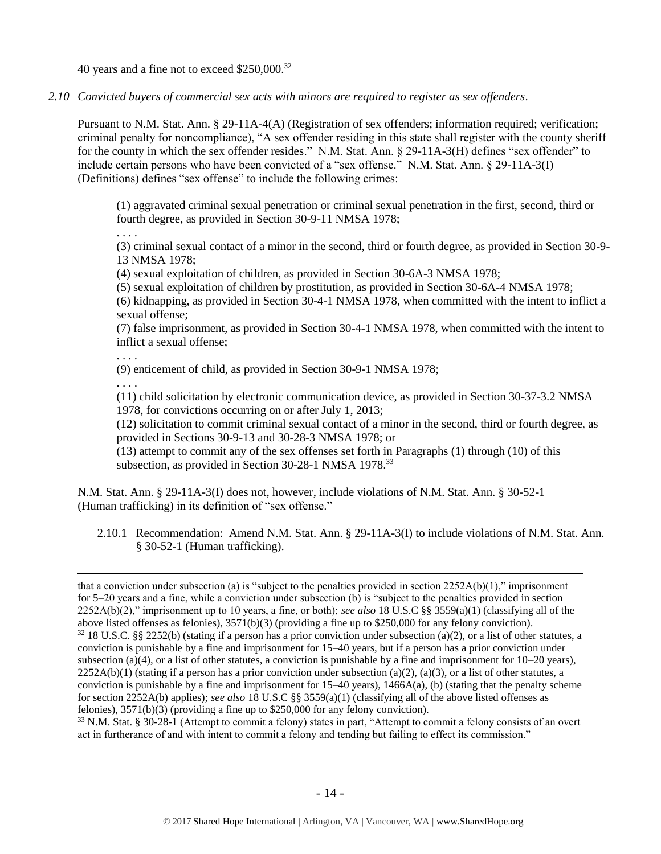40 years and a fine not to exceed \$250,000.<sup>32</sup>

*2.10 Convicted buyers of commercial sex acts with minors are required to register as sex offenders*.

Pursuant to N.M. Stat. Ann. § 29-11A-4(A) (Registration of sex offenders; information required; verification; criminal penalty for noncompliance), "A sex offender residing in this state shall register with the county sheriff for the county in which the sex offender resides." N.M. Stat. Ann. § 29-11A-3(H) defines "sex offender" to include certain persons who have been convicted of a "sex offense." N.M. Stat. Ann. § 29-11A-3(I) (Definitions) defines "sex offense" to include the following crimes:

(1) aggravated criminal sexual penetration or criminal sexual penetration in the first, second, third or fourth degree, as provided in Section 30-9-11 NMSA 1978;

. . . .

(3) criminal sexual contact of a minor in the second, third or fourth degree, as provided in Section 30-9- 13 NMSA 1978;

(4) sexual exploitation of children, as provided in Section 30-6A-3 NMSA 1978;

(5) sexual exploitation of children by prostitution, as provided in Section 30-6A-4 NMSA 1978;

(6) kidnapping, as provided in Section 30-4-1 NMSA 1978, when committed with the intent to inflict a sexual offense;

(7) false imprisonment, as provided in Section 30-4-1 NMSA 1978, when committed with the intent to inflict a sexual offense;

. . . .

(9) enticement of child, as provided in Section 30-9-1 NMSA 1978;

. . . .

 $\overline{a}$ 

(11) child solicitation by electronic communication device, as provided in Section 30-37-3.2 NMSA 1978, for convictions occurring on or after July 1, 2013;

(12) solicitation to commit criminal sexual contact of a minor in the second, third or fourth degree, as provided in Sections 30-9-13 and 30-28-3 NMSA 1978; or

 $(13)$  attempt to commit any of the sex offenses set forth in Paragraphs (1) through (10) of this subsection, as provided in Section 30-28-1 NMSA 1978.<sup>33</sup>

N.M. Stat. Ann. § 29-11A-3(I) does not, however, include violations of N.M. Stat. Ann. § 30-52-1 (Human trafficking) in its definition of "sex offense."

2.10.1 Recommendation: Amend N.M. Stat. Ann. § 29-11A-3(I) to include violations of N.M. Stat. Ann. § 30-52-1 (Human trafficking).

<sup>33</sup> N.M. Stat. § 30-28-1 (Attempt to commit a felony) states in part, "Attempt to commit a felony consists of an overt act in furtherance of and with intent to commit a felony and tending but failing to effect its commission."

that a conviction under subsection (a) is "subject to the penalties provided in section  $2252A(b)(1)$ ," imprisonment for 5–20 years and a fine, while a conviction under subsection (b) is "subject to the penalties provided in section 2252A(b)(2)," imprisonment up to 10 years, a fine, or both); *see also* 18 U.S.C §§ 3559(a)(1) (classifying all of the above listed offenses as felonies), 3571(b)(3) (providing a fine up to \$250,000 for any felony conviction).  $32\,18$  U.S.C. §§ 2252(b) (stating if a person has a prior conviction under subsection (a)(2), or a list of other statutes, a conviction is punishable by a fine and imprisonment for 15–40 years, but if a person has a prior conviction under subsection (a)(4), or a list of other statutes, a conviction is punishable by a fine and imprisonment for  $10-20$  years),  $2252A(b)(1)$  (stating if a person has a prior conviction under subsection (a)(2), (a)(3), or a list of other statutes, a conviction is punishable by a fine and imprisonment for  $15-40$  years),  $1466A(a)$ , (b) (stating that the penalty scheme for section 2252A(b) applies); *see also* 18 U.S.C §§ 3559(a)(1) (classifying all of the above listed offenses as felonies), 3571(b)(3) (providing a fine up to \$250,000 for any felony conviction).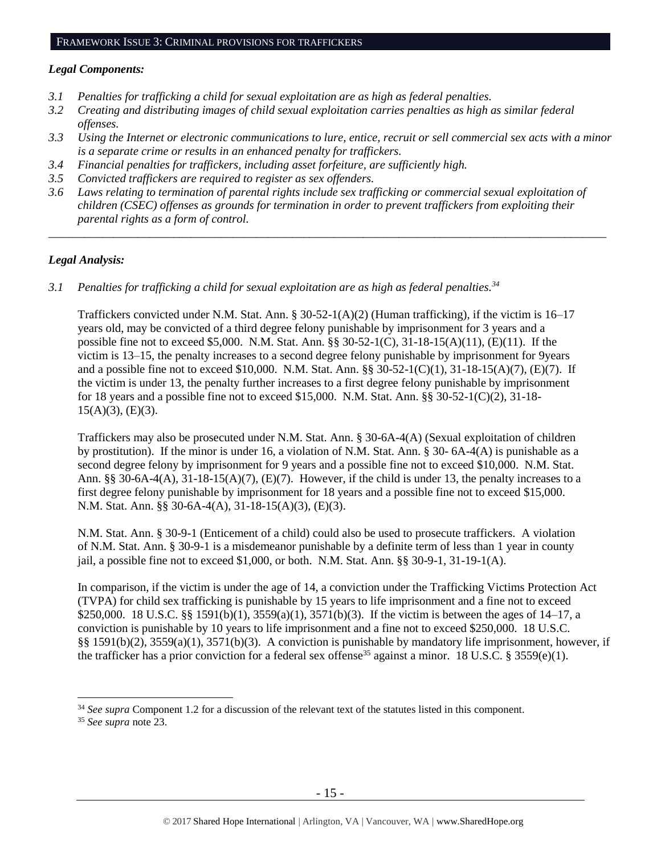#### FRAMEWORK ISSUE 3: CRIMINAL PROVISIONS FOR TRAFFICKERS

#### *Legal Components:*

- *3.1 Penalties for trafficking a child for sexual exploitation are as high as federal penalties.*
- *3.2 Creating and distributing images of child sexual exploitation carries penalties as high as similar federal offenses.*
- *3.3 Using the Internet or electronic communications to lure, entice, recruit or sell commercial sex acts with a minor is a separate crime or results in an enhanced penalty for traffickers.*
- *3.4 Financial penalties for traffickers, including asset forfeiture, are sufficiently high.*
- *3.5 Convicted traffickers are required to register as sex offenders.*
- *3.6 Laws relating to termination of parental rights include sex trafficking or commercial sexual exploitation of children (CSEC) offenses as grounds for termination in order to prevent traffickers from exploiting their parental rights as a form of control.*

*\_\_\_\_\_\_\_\_\_\_\_\_\_\_\_\_\_\_\_\_\_\_\_\_\_\_\_\_\_\_\_\_\_\_\_\_\_\_\_\_\_\_\_\_\_\_\_\_\_\_\_\_\_\_\_\_\_\_\_\_\_\_\_\_\_\_\_\_\_\_\_\_\_\_\_\_\_\_\_\_\_\_\_\_\_\_\_\_\_\_\_\_\_\_*

## *Legal Analysis:*

*3.1 Penalties for trafficking a child for sexual exploitation are as high as federal penalties.<sup>34</sup>*

Traffickers convicted under N.M. Stat. Ann. § 30-52-1(A)(2) (Human trafficking), if the victim is 16–17 years old, may be convicted of a third degree felony punishable by imprisonment for 3 years and a possible fine not to exceed \$5,000. N.M. Stat. Ann. §§ 30-52-1(C), 31-18-15(A)(11), (E)(11). If the victim is 13–15, the penalty increases to a second degree felony punishable by imprisonment for 9years and a possible fine not to exceed \$10,000. N.M. Stat. Ann. §§ 30-52-1(C)(1), 31-18-15(A)(7), (E)(7). If the victim is under 13, the penalty further increases to a first degree felony punishable by imprisonment for 18 years and a possible fine not to exceed \$15,000. N.M. Stat. Ann. §§ 30-52-1(C)(2), 31-18-  $15(A)(3)$ ,  $(E)(3)$ .

Traffickers may also be prosecuted under N.M. Stat. Ann. § 30-6A-4(A) (Sexual exploitation of children by prostitution). If the minor is under 16, a violation of N.M. Stat. Ann. § 30- 6A-4(A) is punishable as a second degree felony by imprisonment for 9 years and a possible fine not to exceed \$10,000. N.M. Stat. Ann. §§ 30-6A-4(A), 31-18-15(A)(7), (E)(7). However, if the child is under 13, the penalty increases to a first degree felony punishable by imprisonment for 18 years and a possible fine not to exceed \$15,000. N.M. Stat. Ann. §§ 30-6A-4(A), 31-18-15(A)(3), (E)(3).

N.M. Stat. Ann. § 30-9-1 (Enticement of a child) could also be used to prosecute traffickers. A violation of N.M. Stat. Ann. § 30-9-1 is a misdemeanor punishable by a definite term of less than 1 year in county jail, a possible fine not to exceed  $$1,000$ , or both. N.M. Stat. Ann. §§ 30-9-1, 31-19-1(A).

In comparison, if the victim is under the age of 14, a conviction under the Trafficking Victims Protection Act (TVPA) for child sex trafficking is punishable by 15 years to life imprisonment and a fine not to exceed \$250,000. 18 U.S.C. §§ 1591(b)(1), 3559(a)(1), 3571(b)(3). If the victim is between the ages of 14–17, a conviction is punishable by 10 years to life imprisonment and a fine not to exceed \$250,000. 18 U.S.C. §§ 1591(b)(2), 3559(a)(1), 3571(b)(3). A conviction is punishable by mandatory life imprisonment, however, if the trafficker has a prior conviction for a federal sex offense<sup>35</sup> against a minor. 18 U.S.C. § 3559(e)(1).

<sup>35</sup> *See supra* note [23.](#page-10-0)

<sup>34</sup> *See supra* Component 1.2 for a discussion of the relevant text of the statutes listed in this component.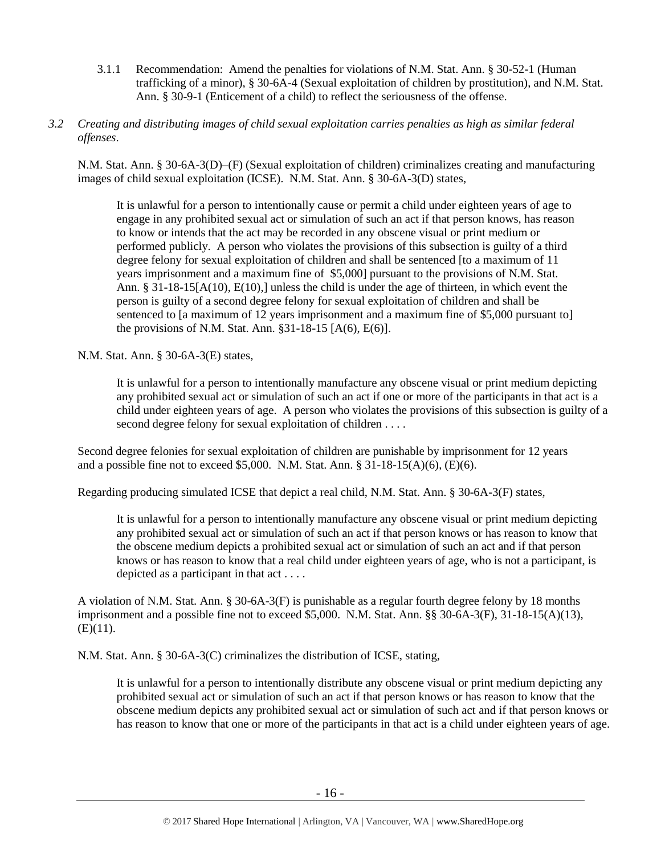- 3.1.1 Recommendation: Amend the penalties for violations of N.M. Stat. Ann. § 30-52-1 (Human trafficking of a minor), § 30-6A-4 (Sexual exploitation of children by prostitution), and N.M. Stat. Ann. § 30-9-1 (Enticement of a child) to reflect the seriousness of the offense.
- *3.2 Creating and distributing images of child sexual exploitation carries penalties as high as similar federal offenses*.

N.M. Stat. Ann. § 30-6A-3(D)–(F) (Sexual exploitation of children) criminalizes creating and manufacturing images of child sexual exploitation (ICSE). N.M. Stat. Ann. § 30-6A-3(D) states,

It is unlawful for a person to intentionally cause or permit a child under eighteen years of age to engage in any prohibited sexual act or simulation of such an act if that person knows, has reason to know or intends that the act may be recorded in any obscene visual or print medium or performed publicly. A person who violates the provisions of this subsection is guilty of a third degree felony for sexual exploitation of children and shall be sentenced [to a maximum of 11 years imprisonment and a maximum fine of \$5,000] pursuant to the provisions of N.M. Stat. Ann. § 31-18-15[A(10), E(10),] unless the child is under the age of thirteen, in which event the person is guilty of a second degree felony for sexual exploitation of children and shall be sentenced to [a maximum of 12 years imprisonment and a maximum fine of \$5,000 pursuant to] the provisions of N.M. Stat. Ann.  $\S 31-18-15$  [A(6), E(6)].

N.M. Stat. Ann. § 30-6A-3(E) states,

It is unlawful for a person to intentionally manufacture any obscene visual or print medium depicting any prohibited sexual act or simulation of such an act if one or more of the participants in that act is a child under eighteen years of age. A person who violates the provisions of this subsection is guilty of a second degree felony for sexual exploitation of children . . . .

Second degree felonies for sexual exploitation of children are punishable by imprisonment for 12 years and a possible fine not to exceed \$5,000. N.M. Stat. Ann. § 31-18-15(A)(6), (E)(6).

Regarding producing simulated ICSE that depict a real child, N.M. Stat. Ann. § 30-6A-3(F) states,

It is unlawful for a person to intentionally manufacture any obscene visual or print medium depicting any prohibited sexual act or simulation of such an act if that person knows or has reason to know that the obscene medium depicts a prohibited sexual act or simulation of such an act and if that person knows or has reason to know that a real child under eighteen years of age, who is not a participant, is depicted as a participant in that act . . . .

A violation of N.M. Stat. Ann. § 30-6A-3(F) is punishable as a regular fourth degree felony by 18 months imprisonment and a possible fine not to exceed \$5,000. N.M. Stat. Ann. §§ 30-6A-3(F), 31-18-15(A)(13),  $(E)(11)$ .

N.M. Stat. Ann. § 30-6A-3(C) criminalizes the distribution of ICSE, stating,

It is unlawful for a person to intentionally distribute any obscene visual or print medium depicting any prohibited sexual act or simulation of such an act if that person knows or has reason to know that the obscene medium depicts any prohibited sexual act or simulation of such act and if that person knows or has reason to know that one or more of the participants in that act is a child under eighteen years of age.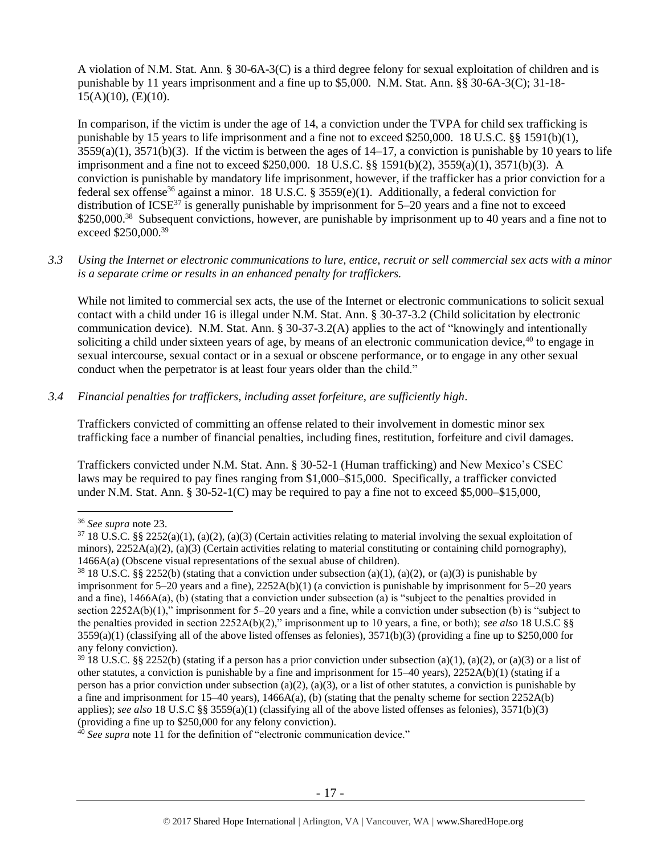A violation of N.M. Stat. Ann. § 30-6A-3(C) is a third degree felony for sexual exploitation of children and is punishable by 11 years imprisonment and a fine up to \$5,000. N.M. Stat. Ann. §§ 30-6A-3(C); 31-18- 15(A)(10), (E)(10).

In comparison, if the victim is under the age of 14, a conviction under the TVPA for child sex trafficking is punishable by 15 years to life imprisonment and a fine not to exceed \$250,000. 18 U.S.C. §§ 1591(b)(1),  $3559(a)(1)$ ,  $3571(b)(3)$ . If the victim is between the ages of  $14-17$ , a conviction is punishable by 10 years to life imprisonment and a fine not to exceed \$250,000. 18 U.S.C. §§ 1591(b)(2), 3559(a)(1), 3571(b)(3). A conviction is punishable by mandatory life imprisonment, however, if the trafficker has a prior conviction for a federal sex offense<sup>36</sup> against a minor. 18 U.S.C. § 3559(e)(1). Additionally, a federal conviction for distribution of ICSE<sup>37</sup> is generally punishable by imprisonment for  $5-20$  years and a fine not to exceed \$250,000.<sup>38</sup> Subsequent convictions, however, are punishable by imprisonment up to 40 years and a fine not to exceed \$250,000.<sup>39</sup>

#### *3.3 Using the Internet or electronic communications to lure, entice, recruit or sell commercial sex acts with a minor is a separate crime or results in an enhanced penalty for traffickers.*

While not limited to commercial sex acts, the use of the Internet or electronic communications to solicit sexual contact with a child under 16 is illegal under N.M. Stat. Ann. § 30-37-3.2 (Child solicitation by electronic communication device). N.M. Stat. Ann. § 30-37-3.2(A) applies to the act of "knowingly and intentionally soliciting a child under sixteen years of age, by means of an electronic communication device,<sup>40</sup> to engage in sexual intercourse, sexual contact or in a sexual or obscene performance, or to engage in any other sexual conduct when the perpetrator is at least four years older than the child."

## *3.4 Financial penalties for traffickers, including asset forfeiture, are sufficiently high*.

Traffickers convicted of committing an offense related to their involvement in domestic minor sex trafficking face a number of financial penalties, including fines, restitution, forfeiture and civil damages.

Traffickers convicted under N.M. Stat. Ann. § 30-52-1 (Human trafficking) and New Mexico's CSEC laws may be required to pay fines ranging from \$1,000–\$15,000. Specifically, a trafficker convicted under N.M. Stat. Ann. § 30-52-1(C) may be required to pay a fine not to exceed \$5,000–\$15,000,

<sup>36</sup> *See supra* note [23.](#page-10-0)

 $37\,18$  U.S.C. §§ 2252(a)(1), (a)(2), (a)(3) (Certain activities relating to material involving the sexual exploitation of minors),  $2252A(a)(2)$ , (a)(3) (Certain activities relating to material constituting or containing child pornography), 1466A(a) (Obscene visual representations of the sexual abuse of children).

<sup>&</sup>lt;sup>38</sup> 18 U.S.C. §§ 2252(b) (stating that a conviction under subsection (a)(1), (a)(2), or (a)(3) is punishable by imprisonment for 5–20 years and a fine), 2252A(b)(1) (a conviction is punishable by imprisonment for 5–20 years and a fine), 1466A(a), (b) (stating that a conviction under subsection (a) is "subject to the penalties provided in section 2252A(b)(1)," imprisonment for 5–20 years and a fine, while a conviction under subsection (b) is "subject to the penalties provided in section 2252A(b)(2)," imprisonment up to 10 years, a fine, or both); *see also* 18 U.S.C §§  $3559(a)(1)$  (classifying all of the above listed offenses as felonies),  $3571(b)(3)$  (providing a fine up to \$250,000 for any felony conviction).

<sup>&</sup>lt;sup>39</sup> 18 U.S.C. §§ 2252(b) (stating if a person has a prior conviction under subsection (a)(1), (a)(2), or (a)(3) or a list of other statutes, a conviction is punishable by a fine and imprisonment for  $15-40$  years),  $2252A(b)(1)$  (stating if a person has a prior conviction under subsection (a)(2), (a)(3), or a list of other statutes, a conviction is punishable by a fine and imprisonment for 15–40 years), 1466A(a), (b) (stating that the penalty scheme for section 2252A(b) applies); *see also* 18 U.S.C §§ 3559(a)(1) (classifying all of the above listed offenses as felonies), 3571(b)(3) (providing a fine up to \$250,000 for any felony conviction).

<sup>&</sup>lt;sup>40</sup> See supra note [11](#page-4-0) for the definition of "electronic communication device."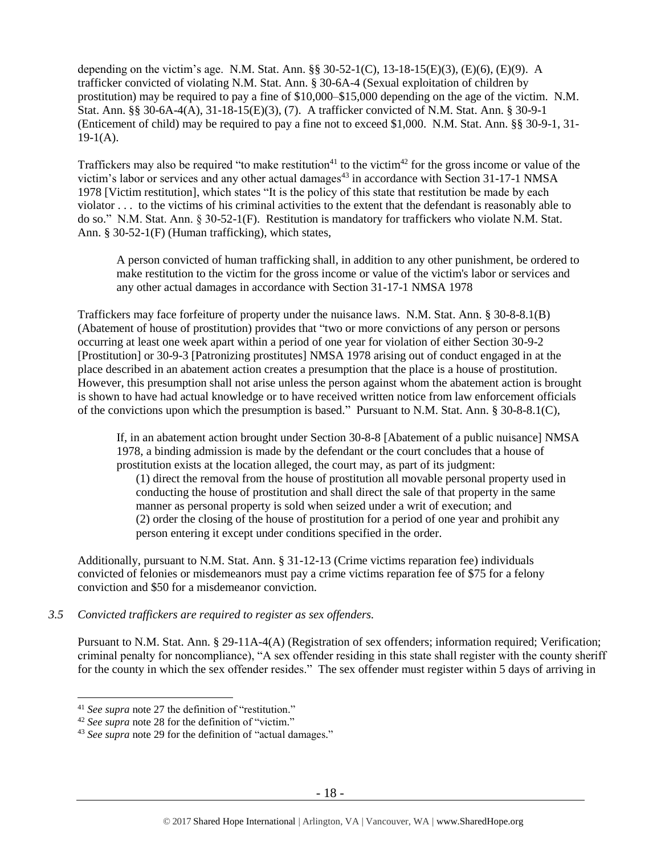depending on the victim's age. N.M. Stat. Ann. §§ 30-52-1(C), 13-18-15(E)(3), (E)(6), (E)(9). A trafficker convicted of violating N.M. Stat. Ann. § 30-6A-4 (Sexual exploitation of children by prostitution) may be required to pay a fine of \$10,000–\$15,000 depending on the age of the victim. N.M. Stat. Ann. §§ 30-6A-4(A), 31-18-15(E)(3), (7). A trafficker convicted of N.M. Stat. Ann. § 30-9-1 (Enticement of child) may be required to pay a fine not to exceed \$1,000. N.M. Stat. Ann. §§ 30-9-1, 31-  $19-1(A)$ .

Traffickers may also be required "to make restitution<sup>41</sup> to the victim<sup>42</sup> for the gross income or value of the victim's labor or services and any other actual damages<sup>43</sup> in accordance with Section 31-17-1 NMSA 1978 [Victim restitution], which states "It is the policy of this state that restitution be made by each violator . . . to the victims of his criminal activities to the extent that the defendant is reasonably able to do so." N.M. Stat. Ann. § 30-52-1(F). Restitution is mandatory for traffickers who violate N.M. Stat. Ann. § 30-52-1(F) (Human trafficking), which states,

A person convicted of human trafficking shall, in addition to any other punishment, be ordered to make restitution to the victim for the gross income or value of the victim's labor or services and any other actual damages in accordance with Section 31-17-1 NMSA 1978

Traffickers may face forfeiture of property under the nuisance laws. N.M. Stat. Ann. § 30-8-8.1(B) (Abatement of house of prostitution) provides that "two or more convictions of any person or persons occurring at least one week apart within a period of one year for violation of either Section 30-9-2 [Prostitution] or 30-9-3 [Patronizing prostitutes] NMSA 1978 arising out of conduct engaged in at the place described in an abatement action creates a presumption that the place is a house of prostitution. However, this presumption shall not arise unless the person against whom the abatement action is brought is shown to have had actual knowledge or to have received written notice from law enforcement officials of the convictions upon which the presumption is based." Pursuant to N.M. Stat. Ann. § 30-8-8.1(C),

If, in an abatement action brought under Section 30-8-8 [Abatement of a public nuisance] NMSA 1978, a binding admission is made by the defendant or the court concludes that a house of prostitution exists at the location alleged, the court may, as part of its judgment:

(1) direct the removal from the house of prostitution all movable personal property used in conducting the house of prostitution and shall direct the sale of that property in the same manner as personal property is sold when seized under a writ of execution; and (2) order the closing of the house of prostitution for a period of one year and prohibit any person entering it except under conditions specified in the order.

Additionally, pursuant to N.M. Stat. Ann. § 31-12-13 (Crime victims reparation fee) individuals convicted of felonies or misdemeanors must pay a crime victims reparation fee of \$75 for a felony conviction and \$50 for a misdemeanor conviction.

## *3.5 Convicted traffickers are required to register as sex offenders.*

Pursuant to N.M. Stat. Ann. § 29-11A-4(A) (Registration of sex offenders; information required; Verification; criminal penalty for noncompliance), "A sex offender residing in this state shall register with the county sheriff for the county in which the sex offender resides." The sex offender must register within 5 days of arriving in

<sup>41</sup> *See supra* note [27](#page-12-0) the definition of "restitution."

<sup>42</sup> *See supra* note [28](#page-12-1) for the definition of "victim."

<sup>&</sup>lt;sup>43</sup> See supra note [29](#page-12-2) for the definition of "actual damages."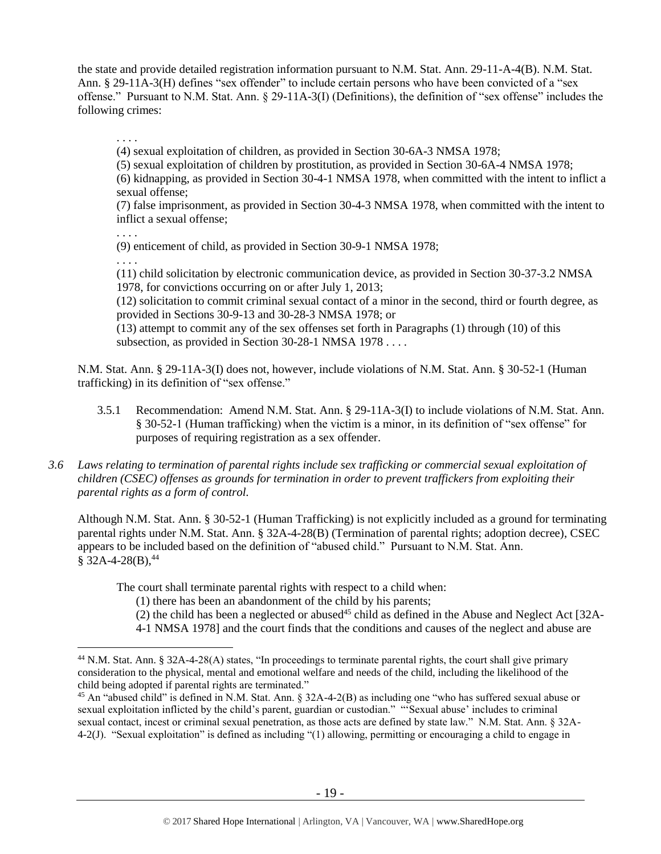the state and provide detailed registration information pursuant to N.M. Stat. Ann. 29-11-A-4(B). N.M. Stat. Ann. § 29-11A-3(H) defines "sex offender" to include certain persons who have been convicted of a "sex offense." Pursuant to N.M. Stat. Ann. § 29-11A-3(I) (Definitions), the definition of "sex offense" includes the following crimes:

(4) sexual exploitation of children, as provided in Section 30-6A-3 NMSA 1978;

(5) sexual exploitation of children by prostitution, as provided in Section 30-6A-4 NMSA 1978;

(6) kidnapping, as provided in Section 30-4-1 NMSA 1978, when committed with the intent to inflict a sexual offense;

(7) false imprisonment, as provided in Section 30-4-3 NMSA 1978, when committed with the intent to inflict a sexual offense;

. . . .

. . . .

(9) enticement of child, as provided in Section 30-9-1 NMSA 1978;

. . . .

 $\overline{a}$ 

(11) child solicitation by electronic communication device, as provided in Section 30-37-3.2 NMSA 1978, for convictions occurring on or after July 1, 2013;

(12) solicitation to commit criminal sexual contact of a minor in the second, third or fourth degree, as provided in Sections 30-9-13 and 30-28-3 NMSA 1978; or

(13) attempt to commit any of the sex offenses set forth in Paragraphs (1) through (10) of this subsection, as provided in Section 30-28-1 NMSA 1978 . . . .

N.M. Stat. Ann. § 29-11A-3(I) does not, however, include violations of N.M. Stat. Ann. § 30-52-1 (Human trafficking) in its definition of "sex offense."

- 3.5.1 Recommendation: Amend N.M. Stat. Ann. § 29-11A-3(I) to include violations of N.M. Stat. Ann. § 30-52-1 (Human trafficking) when the victim is a minor, in its definition of "sex offense" for purposes of requiring registration as a sex offender.
- *3.6 Laws relating to termination of parental rights include sex trafficking or commercial sexual exploitation of children (CSEC) offenses as grounds for termination in order to prevent traffickers from exploiting their parental rights as a form of control.*

Although N.M. Stat. Ann. § 30-52-1 (Human Trafficking) is not explicitly included as a ground for terminating parental rights under N.M. Stat. Ann. § 32A-4-28(B) (Termination of parental rights; adoption decree), CSEC appears to be included based on the definition of "abused child." Pursuant to N.M. Stat. Ann.  $$32A-4-28(B),<sup>44</sup>$ 

The court shall terminate parental rights with respect to a child when:

(1) there has been an abandonment of the child by his parents;

<span id="page-18-0"></span> $(2)$  the child has been a neglected or abused<sup>45</sup> child as defined in the Abuse and Neglect Act [32A-

4-1 NMSA 1978] and the court finds that the conditions and causes of the neglect and abuse are

<sup>44</sup> N.M. Stat. Ann. § 32A-4-28(A) states, "In proceedings to terminate parental rights, the court shall give primary consideration to the physical, mental and emotional welfare and needs of the child, including the likelihood of the child being adopted if parental rights are terminated."

<sup>&</sup>lt;sup>45</sup> An "abused child" is defined in N.M. Stat. Ann.  $\S 32A-4-2(B)$  as including one "who has suffered sexual abuse or sexual exploitation inflicted by the child's parent, guardian or custodian." "'Sexual abuse' includes to criminal sexual contact, incest or criminal sexual penetration, as those acts are defined by state law." N.M. Stat. Ann. § 32A-4-2(J). "Sexual exploitation" is defined as including "(1) allowing, permitting or encouraging a child to engage in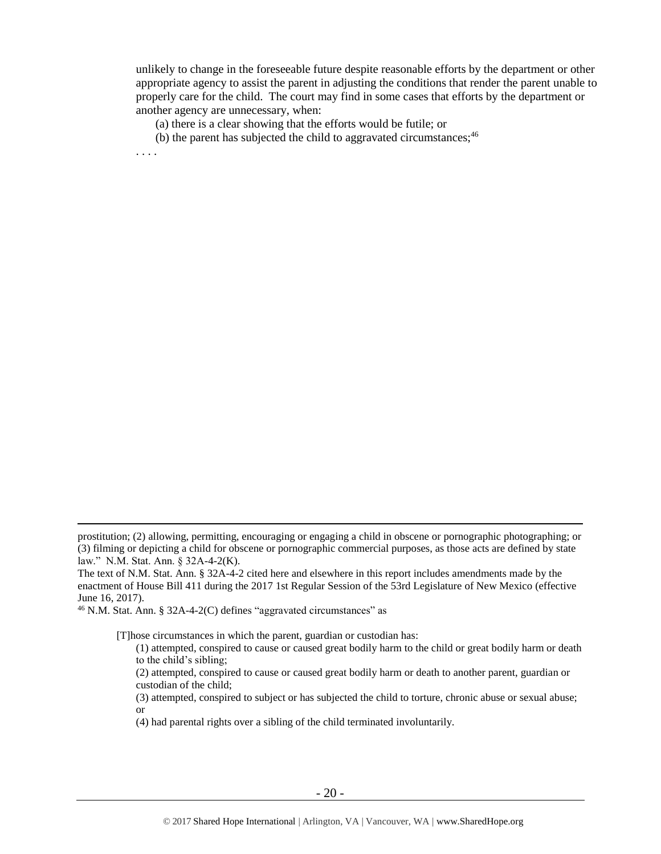unlikely to change in the foreseeable future despite reasonable efforts by the department or other appropriate agency to assist the parent in adjusting the conditions that render the parent unable to properly care for the child. The court may find in some cases that efforts by the department or another agency are unnecessary, when:

(a) there is a clear showing that the efforts would be futile; or

(b) the parent has subjected the child to aggravated circumstances;<sup>46</sup>

. . . .

 $\overline{a}$ 

[T]hose circumstances in which the parent, guardian or custodian has:

(3) attempted, conspired to subject or has subjected the child to torture, chronic abuse or sexual abuse; or

prostitution; (2) allowing, permitting, encouraging or engaging a child in obscene or pornographic photographing; or (3) filming or depicting a child for obscene or pornographic commercial purposes, as those acts are defined by state law." N.M. Stat. Ann. § 32A-4-2(K).

The text of N.M. Stat. Ann. § 32A-4-2 cited here and elsewhere in this report includes amendments made by the enactment of House Bill 411 during the 2017 1st Regular Session of the 53rd Legislature of New Mexico (effective June 16, 2017).

 $46$  N.M. Stat. Ann. § 32A-4-2(C) defines "aggravated circumstances" as

<sup>(1)</sup> attempted, conspired to cause or caused great bodily harm to the child or great bodily harm or death to the child's sibling;

<sup>(2)</sup> attempted, conspired to cause or caused great bodily harm or death to another parent, guardian or custodian of the child;

<sup>(4)</sup> had parental rights over a sibling of the child terminated involuntarily.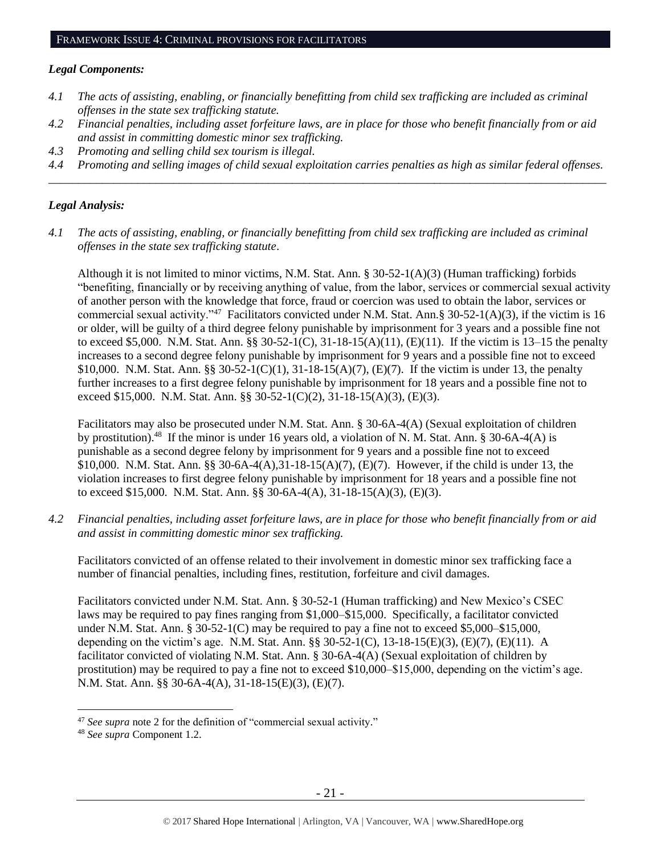#### *Legal Components:*

- *4.1 The acts of assisting, enabling, or financially benefitting from child sex trafficking are included as criminal offenses in the state sex trafficking statute.*
- *4.2 Financial penalties, including asset forfeiture laws, are in place for those who benefit financially from or aid and assist in committing domestic minor sex trafficking.*
- *4.3 Promoting and selling child sex tourism is illegal.*
- *4.4 Promoting and selling images of child sexual exploitation carries penalties as high as similar federal offenses. \_\_\_\_\_\_\_\_\_\_\_\_\_\_\_\_\_\_\_\_\_\_\_\_\_\_\_\_\_\_\_\_\_\_\_\_\_\_\_\_\_\_\_\_\_\_\_\_\_\_\_\_\_\_\_\_\_\_\_\_\_\_\_\_\_\_\_\_\_\_\_\_\_\_\_\_\_\_\_\_\_\_\_\_\_\_\_\_\_\_\_\_\_\_*

## *Legal Analysis:*

*4.1 The acts of assisting, enabling, or financially benefitting from child sex trafficking are included as criminal offenses in the state sex trafficking statute*.

Although it is not limited to minor victims, N.M. Stat. Ann.  $\S 30-52-1(A)(3)$  (Human trafficking) forbids "benefiting, financially or by receiving anything of value, from the labor, services or commercial sexual activity of another person with the knowledge that force, fraud or coercion was used to obtain the labor, services or commercial sexual activity."<sup>47</sup> Facilitators convicted under N.M. Stat. Ann.§ 30-52-1(A)(3), if the victim is 16 or older, will be guilty of a third degree felony punishable by imprisonment for 3 years and a possible fine not to exceed \$5,000. N.M. Stat. Ann. §§ 30-52-1(C), 31-18-15(A)(11), (E)(11). If the victim is 13–15 the penalty increases to a second degree felony punishable by imprisonment for 9 years and a possible fine not to exceed \$10,000. N.M. Stat. Ann. §§ 30-52-1(C)(1), 31-18-15(A)(7), (E)(7). If the victim is under 13, the penalty further increases to a first degree felony punishable by imprisonment for 18 years and a possible fine not to exceed \$15,000. N.M. Stat. Ann. §§ 30-52-1(C)(2), 31-18-15(A)(3), (E)(3).

Facilitators may also be prosecuted under N.M. Stat. Ann. § 30-6A-4(A) (Sexual exploitation of children by prostitution).<sup>48</sup> If the minor is under 16 years old, a violation of N. M. Stat. Ann. § 30-6A-4(A) is punishable as a second degree felony by imprisonment for 9 years and a possible fine not to exceed \$10,000. N.M. Stat. Ann. §§ 30-6A-4(A),31-18-15(A)(7), (E)(7). However, if the child is under 13, the violation increases to first degree felony punishable by imprisonment for 18 years and a possible fine not to exceed \$15,000. N.M. Stat. Ann. §§ 30-6A-4(A), 31-18-15(A)(3), (E)(3).

*4.2 Financial penalties, including asset forfeiture laws, are in place for those who benefit financially from or aid and assist in committing domestic minor sex trafficking.*

Facilitators convicted of an offense related to their involvement in domestic minor sex trafficking face a number of financial penalties, including fines, restitution, forfeiture and civil damages.

Facilitators convicted under N.M. Stat. Ann. § 30-52-1 (Human trafficking) and New Mexico's CSEC laws may be required to pay fines ranging from \$1,000–\$15,000. Specifically, a facilitator convicted under N.M. Stat. Ann. § 30-52-1(C) may be required to pay a fine not to exceed \$5,000–\$15,000, depending on the victim's age. N.M. Stat. Ann. §§ 30-52-1(C), 13-18-15(E)(3), (E)(7), (E)(11). A facilitator convicted of violating N.M. Stat. Ann. § 30-6A-4(A) (Sexual exploitation of children by prostitution) may be required to pay a fine not to exceed \$10,000–\$15,000, depending on the victim's age. N.M. Stat. Ann. §§ 30-6A-4(A), 31-18-15(E)(3), (E)(7).

<sup>47</sup> *See supra* note [2](#page-0-0) for the definition of "commercial sexual activity."

<sup>48</sup> *See supra* Component 1[.2.](#page-1-1)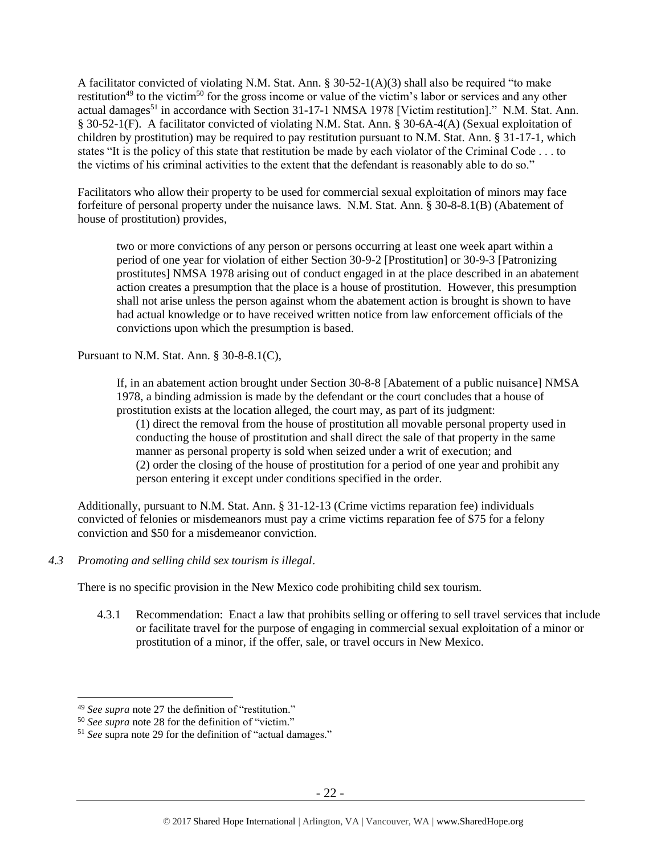A facilitator convicted of violating N.M. Stat. Ann. § 30-52-1(A)(3) shall also be required "to make restitution<sup>49</sup> to the victim<sup>50</sup> for the gross income or value of the victim's labor or services and any other actual damages<sup>51</sup> in accordance with Section 31-17-1 NMSA 1978 [Victim restitution]." N.M. Stat. Ann. § 30-52-1(F). A facilitator convicted of violating N.M. Stat. Ann. § 30-6A-4(A) (Sexual exploitation of children by prostitution) may be required to pay restitution pursuant to N.M. Stat. Ann. § 31-17-1, which states "It is the policy of this state that restitution be made by each violator of the Criminal Code . . . to the victims of his criminal activities to the extent that the defendant is reasonably able to do so."

Facilitators who allow their property to be used for commercial sexual exploitation of minors may face forfeiture of personal property under the nuisance laws. N.M. Stat. Ann. § 30-8-8.1(B) (Abatement of house of prostitution) provides,

two or more convictions of any person or persons occurring at least one week apart within a period of one year for violation of either Section 30-9-2 [Prostitution] or 30-9-3 [Patronizing prostitutes] NMSA 1978 arising out of conduct engaged in at the place described in an abatement action creates a presumption that the place is a house of prostitution. However, this presumption shall not arise unless the person against whom the abatement action is brought is shown to have had actual knowledge or to have received written notice from law enforcement officials of the convictions upon which the presumption is based.

Pursuant to N.M. Stat. Ann. § 30-8-8.1(C),

If, in an abatement action brought under Section 30-8-8 [Abatement of a public nuisance] NMSA 1978, a binding admission is made by the defendant or the court concludes that a house of prostitution exists at the location alleged, the court may, as part of its judgment:

(1) direct the removal from the house of prostitution all movable personal property used in conducting the house of prostitution and shall direct the sale of that property in the same manner as personal property is sold when seized under a writ of execution; and (2) order the closing of the house of prostitution for a period of one year and prohibit any person entering it except under conditions specified in the order.

Additionally, pursuant to N.M. Stat. Ann. § 31-12-13 (Crime victims reparation fee) individuals convicted of felonies or misdemeanors must pay a crime victims reparation fee of \$75 for a felony conviction and \$50 for a misdemeanor conviction.

*4.3 Promoting and selling child sex tourism is illegal*.

There is no specific provision in the New Mexico code prohibiting child sex tourism.

4.3.1 Recommendation: Enact a law that prohibits selling or offering to sell travel services that include or facilitate travel for the purpose of engaging in commercial sexual exploitation of a minor or prostitution of a minor, if the offer, sale, or travel occurs in New Mexico.

<sup>49</sup> *See supra* note [27](#page-12-0) the definition of "restitution."

<sup>50</sup> *See supra* note [28](#page-12-1) for the definition of "victim."

<sup>51</sup> *See* supra note [29](#page-12-2) for the definition of "actual damages."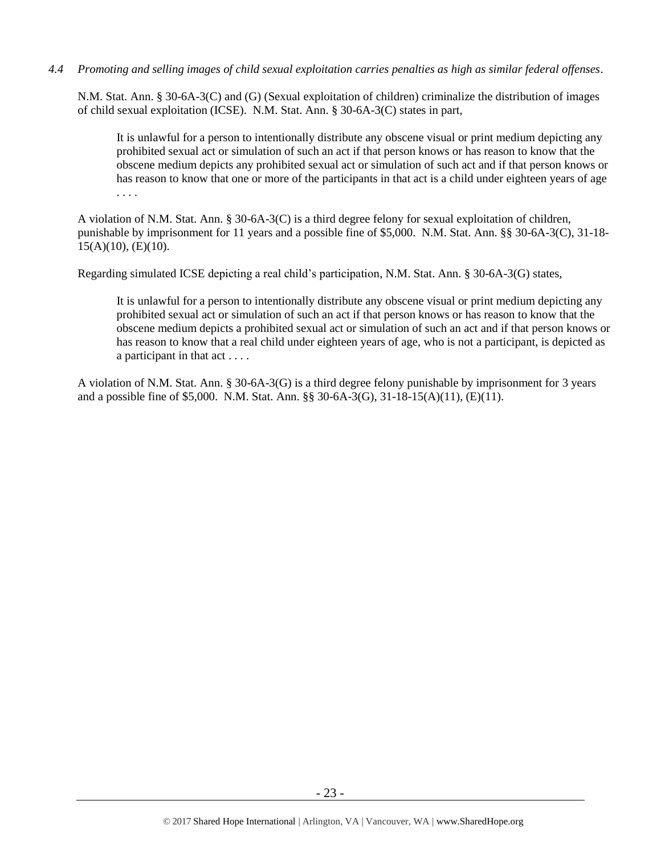## *4.4 Promoting and selling images of child sexual exploitation carries penalties as high as similar federal offenses*.

N.M. Stat. Ann. § 30-6A-3(C) and (G) (Sexual exploitation of children) criminalize the distribution of images of child sexual exploitation (ICSE). N.M. Stat. Ann. § 30-6A-3(C) states in part,

It is unlawful for a person to intentionally distribute any obscene visual or print medium depicting any prohibited sexual act or simulation of such an act if that person knows or has reason to know that the obscene medium depicts any prohibited sexual act or simulation of such act and if that person knows or has reason to know that one or more of the participants in that act is a child under eighteen years of age . . . .

A violation of N.M. Stat. Ann. § 30-6A-3(C) is a third degree felony for sexual exploitation of children, punishable by imprisonment for 11 years and a possible fine of \$5,000. N.M. Stat. Ann. §§ 30-6A-3(C), 31-18-  $15(A)(10)$ , (E)(10).

Regarding simulated ICSE depicting a real child's participation, N.M. Stat. Ann. § 30-6A-3(G) states,

It is unlawful for a person to intentionally distribute any obscene visual or print medium depicting any prohibited sexual act or simulation of such an act if that person knows or has reason to know that the obscene medium depicts a prohibited sexual act or simulation of such an act and if that person knows or has reason to know that a real child under eighteen years of age, who is not a participant, is depicted as a participant in that act . . . .

A violation of N.M. Stat. Ann. § 30-6A-3(G) is a third degree felony punishable by imprisonment for 3 years and a possible fine of \$5,000. N.M. Stat. Ann. §§ 30-6A-3(G), 31-18-15(A)(11), (E)(11).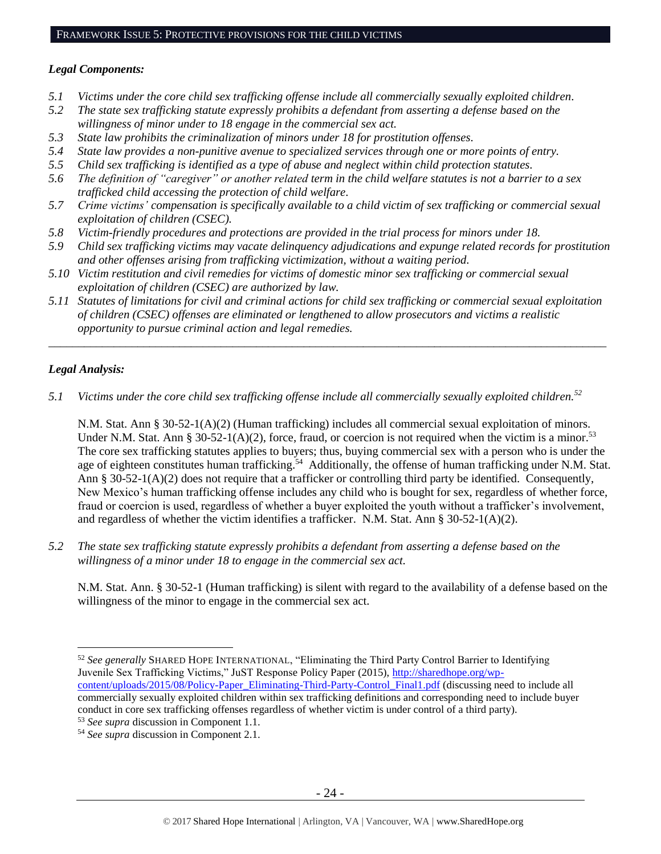## *Legal Components:*

- *5.1 Victims under the core child sex trafficking offense include all commercially sexually exploited children.*
- *5.2 The state sex trafficking statute expressly prohibits a defendant from asserting a defense based on the willingness of minor under to 18 engage in the commercial sex act.*
- *5.3 State law prohibits the criminalization of minors under 18 for prostitution offenses.*
- *5.4 State law provides a non-punitive avenue to specialized services through one or more points of entry.*
- *5.5 Child sex trafficking is identified as a type of abuse and neglect within child protection statutes.*
- *5.6 The definition of "caregiver" or another related term in the child welfare statutes is not a barrier to a sex trafficked child accessing the protection of child welfare.*
- *5.7 Crime victims' compensation is specifically available to a child victim of sex trafficking or commercial sexual exploitation of children (CSEC).*
- *5.8 Victim-friendly procedures and protections are provided in the trial process for minors under 18.*
- *5.9 Child sex trafficking victims may vacate delinquency adjudications and expunge related records for prostitution and other offenses arising from trafficking victimization, without a waiting period.*
- *5.10 Victim restitution and civil remedies for victims of domestic minor sex trafficking or commercial sexual exploitation of children (CSEC) are authorized by law.*
- *5.11 Statutes of limitations for civil and criminal actions for child sex trafficking or commercial sexual exploitation of children (CSEC) offenses are eliminated or lengthened to allow prosecutors and victims a realistic opportunity to pursue criminal action and legal remedies.*

*\_\_\_\_\_\_\_\_\_\_\_\_\_\_\_\_\_\_\_\_\_\_\_\_\_\_\_\_\_\_\_\_\_\_\_\_\_\_\_\_\_\_\_\_\_\_\_\_\_\_\_\_\_\_\_\_\_\_\_\_\_\_\_\_\_\_\_\_\_\_\_\_\_\_\_\_\_\_\_\_\_\_\_\_\_\_\_\_\_\_\_\_\_\_*

## *Legal Analysis:*

 $\overline{a}$ 

*5.1 Victims under the core child sex trafficking offense include all commercially sexually exploited children.<sup>52</sup>*

N.M. Stat. Ann § 30-52-1(A)(2) (Human trafficking) includes all commercial sexual exploitation of minors. Under N.M. Stat. Ann § 30-52-1(A)(2), force, fraud, or coercion is not required when the victim is a minor.<sup>53</sup> The core sex trafficking statutes applies to buyers; thus, buying commercial sex with a person who is under the age of eighteen constitutes human trafficking.<sup>54</sup> Additionally, the offense of human trafficking under N.M. Stat. Ann § 30-52-1(A)(2) does not require that a trafficker or controlling third party be identified. Consequently, New Mexico's human trafficking offense includes any child who is bought for sex, regardless of whether force, fraud or coercion is used, regardless of whether a buyer exploited the youth without a trafficker's involvement, and regardless of whether the victim identifies a trafficker. N.M. Stat. Ann  $\S 30-52-1(A)(2)$ .

*5.2 The state sex trafficking statute expressly prohibits a defendant from asserting a defense based on the willingness of a minor under 18 to engage in the commercial sex act.* 

N.M. Stat. Ann. § 30-52-1 (Human trafficking) is silent with regard to the availability of a defense based on the willingness of the minor to engage in the commercial sex act.

<sup>52</sup> *See generally* SHARED HOPE INTERNATIONAL, "Eliminating the Third Party Control Barrier to Identifying Juvenile Sex Trafficking Victims," JuST Response Policy Paper (2015), [http://sharedhope.org/wp](http://sharedhope.org/wp-content/uploads/2015/08/Policy-Paper_Eliminating-Third-Party-Control_Final1.pdf)[content/uploads/2015/08/Policy-Paper\\_Eliminating-Third-Party-Control\\_Final1.pdf](http://sharedhope.org/wp-content/uploads/2015/08/Policy-Paper_Eliminating-Third-Party-Control_Final1.pdf) (discussing need to include all commercially sexually exploited children within sex trafficking definitions and corresponding need to include buyer conduct in core sex trafficking offenses regardless of whether victim is under control of a third party).

<sup>53</sup> *See supra* discussion in Component 1.1.

<sup>54</sup> *See supra* discussion in Component 2.1.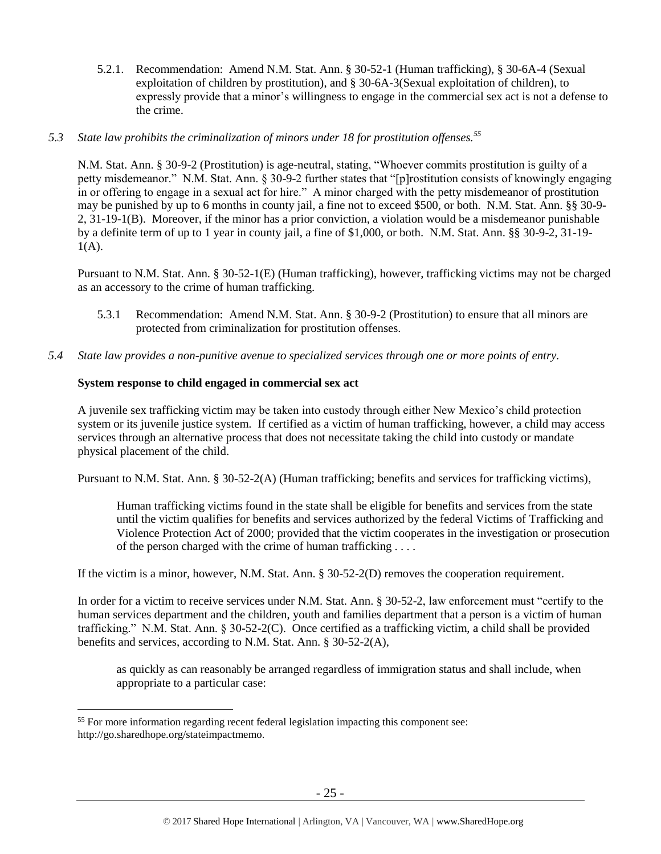5.2.1. Recommendation: Amend N.M. Stat. Ann. § 30-52-1 (Human trafficking), § 30-6A-4 (Sexual exploitation of children by prostitution), and § 30-6A-3(Sexual exploitation of children), to expressly provide that a minor's willingness to engage in the commercial sex act is not a defense to the crime.

#### *5.3 State law prohibits the criminalization of minors under 18 for prostitution offenses.<sup>55</sup>*

N.M. Stat. Ann. § 30-9-2 (Prostitution) is age-neutral, stating, "Whoever commits prostitution is guilty of a petty misdemeanor." N.M. Stat. Ann. § 30-9-2 further states that "[p]rostitution consists of knowingly engaging in or offering to engage in a sexual act for hire." A minor charged with the petty misdemeanor of prostitution may be punished by up to 6 months in county jail, a fine not to exceed \$500, or both. N.M. Stat. Ann. §§ 30-9- 2, 31-19-1(B). Moreover, if the minor has a prior conviction, a violation would be a misdemeanor punishable by a definite term of up to 1 year in county jail, a fine of \$1,000, or both. N.M. Stat. Ann. §§ 30-9-2, 31-19-  $1(A)$ .

Pursuant to N.M. Stat. Ann. § 30-52-1(E) (Human trafficking), however, trafficking victims may not be charged as an accessory to the crime of human trafficking.

- 5.3.1 Recommendation: Amend N.M. Stat. Ann. § 30-9-2 (Prostitution) to ensure that all minors are protected from criminalization for prostitution offenses.
- *5.4 State law provides a non-punitive avenue to specialized services through one or more points of entry.*

## **System response to child engaged in commercial sex act**

A juvenile sex trafficking victim may be taken into custody through either New Mexico's child protection system or its juvenile justice system. If certified as a victim of human trafficking, however, a child may access services through an alternative process that does not necessitate taking the child into custody or mandate physical placement of the child.

Pursuant to N.M. Stat. Ann. § 30-52-2(A) (Human trafficking; benefits and services for trafficking victims),

Human trafficking victims found in the state shall be eligible for benefits and services from the state until the victim qualifies for benefits and services authorized by the federal Victims of Trafficking and Violence Protection Act of 2000; provided that the victim cooperates in the investigation or prosecution of the person charged with the crime of human trafficking . . . .

If the victim is a minor, however, N.M. Stat. Ann. § 30-52-2(D) removes the cooperation requirement.

In order for a victim to receive services under N.M. Stat. Ann. § 30-52-2, law enforcement must "certify to the human services department and the children, youth and families department that a person is a victim of human trafficking." N.M. Stat. Ann. § 30-52-2(C). Once certified as a trafficking victim, a child shall be provided benefits and services, according to N.M. Stat. Ann. § 30-52-2(A),

as quickly as can reasonably be arranged regardless of immigration status and shall include, when appropriate to a particular case:

<sup>&</sup>lt;sup>55</sup> For more information regarding recent federal legislation impacting this component see: http://go.sharedhope.org/stateimpactmemo.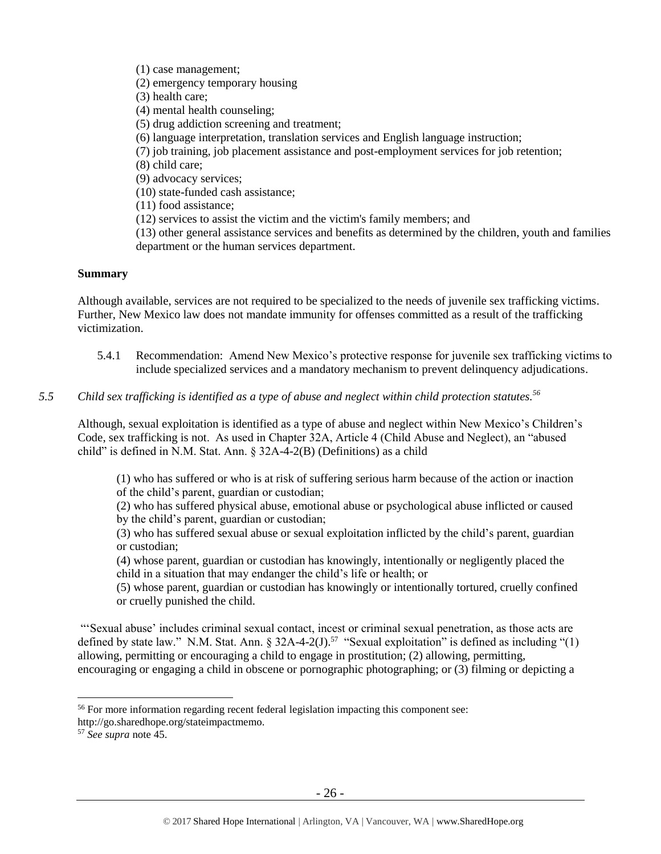(1) case management;

(2) emergency temporary housing

(3) health care;

(4) mental health counseling;

- (5) drug addiction screening and treatment;
- (6) language interpretation, translation services and English language instruction;
- (7) job training, job placement assistance and post-employment services for job retention;

(8) child care;

(9) advocacy services;

(10) state-funded cash assistance;

(11) food assistance;

(12) services to assist the victim and the victim's family members; and

(13) other general assistance services and benefits as determined by the children, youth and families department or the human services department.

## **Summary**

Although available, services are not required to be specialized to the needs of juvenile sex trafficking victims. Further, New Mexico law does not mandate immunity for offenses committed as a result of the trafficking victimization.

5.4.1 Recommendation: Amend New Mexico's protective response for juvenile sex trafficking victims to include specialized services and a mandatory mechanism to prevent delinquency adjudications.

## *5.5 Child sex trafficking is identified as a type of abuse and neglect within child protection statutes.<sup>56</sup>*

Although, sexual exploitation is identified as a type of abuse and neglect within New Mexico's Children's Code, sex trafficking is not. As used in Chapter 32A, Article 4 (Child Abuse and Neglect), an "abused child" is defined in N.M. Stat. Ann. § 32A-4-2(B) (Definitions) as a child

(1) who has suffered or who is at risk of suffering serious harm because of the action or inaction of the child's parent, guardian or custodian;

(2) who has suffered physical abuse, emotional abuse or psychological abuse inflicted or caused by the child's parent, guardian or custodian;

(3) who has suffered sexual abuse or sexual exploitation inflicted by the child's parent, guardian or custodian;

(4) whose parent, guardian or custodian has knowingly, intentionally or negligently placed the child in a situation that may endanger the child's life or health; or

(5) whose parent, guardian or custodian has knowingly or intentionally tortured, cruelly confined or cruelly punished the child.

"'Sexual abuse' includes criminal sexual contact, incest or criminal sexual penetration, as those acts are defined by state law." N.M. Stat. Ann.  $\S 32A-4-2(J)$ .<sup>57</sup> "Sexual exploitation" is defined as including "(1) allowing, permitting or encouraging a child to engage in prostitution; (2) allowing, permitting, encouraging or engaging a child in obscene or pornographic photographing; or (3) filming or depicting a

<sup>56</sup> For more information regarding recent federal legislation impacting this component see:

http://go.sharedhope.org/stateimpactmemo.

<sup>57</sup> *See supra* note [45.](#page-18-0)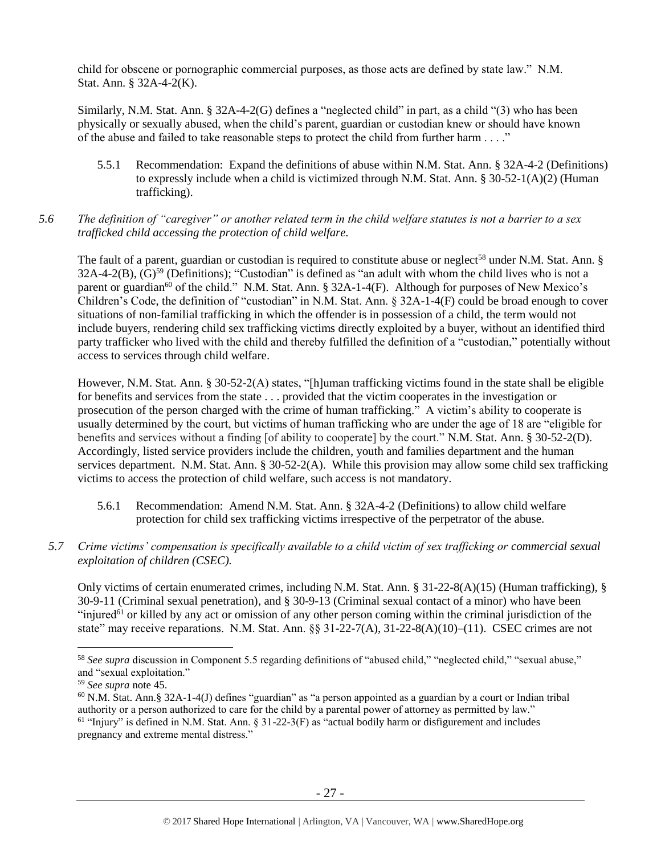child for obscene or pornographic commercial purposes, as those acts are defined by state law." N.M. Stat. Ann. § 32A-4-2(K).

Similarly, N.M. Stat. Ann. § 32A-4-2(G) defines a "neglected child" in part, as a child "(3) who has been physically or sexually abused, when the child's parent, guardian or custodian knew or should have known of the abuse and failed to take reasonable steps to protect the child from further harm . . . ."

5.5.1 Recommendation: Expand the definitions of abuse within N.M. Stat. Ann. § 32A-4-2 (Definitions) to expressly include when a child is victimized through N.M. Stat. Ann. § 30-52-1(A)(2) (Human trafficking).

## *5.6 The definition of "caregiver" or another related term in the child welfare statutes is not a barrier to a sex trafficked child accessing the protection of child welfare.*

The fault of a parent, guardian or custodian is required to constitute abuse or neglect<sup>58</sup> under N.M. Stat. Ann. §  $32A-4-2(B)$ ,  $(G)$ <sup>59</sup> (Definitions); "Custodian" is defined as "an adult with whom the child lives who is not a parent or guardian<sup>60</sup> of the child." N.M. Stat. Ann. § 32A-1-4(F). Although for purposes of New Mexico's Children's Code, the definition of "custodian" in N.M. Stat. Ann. § 32A-1-4(F) could be broad enough to cover situations of non-familial trafficking in which the offender is in possession of a child, the term would not include buyers, rendering child sex trafficking victims directly exploited by a buyer, without an identified third party trafficker who lived with the child and thereby fulfilled the definition of a "custodian," potentially without access to services through child welfare.

However, N.M. Stat. Ann. § 30-52-2(A) states, "[h]uman trafficking victims found in the state shall be eligible for benefits and services from the state . . . provided that the victim cooperates in the investigation or prosecution of the person charged with the crime of human trafficking." A victim's ability to cooperate is usually determined by the court, but victims of human trafficking who are under the age of 18 are "eligible for benefits and services without a finding [of ability to cooperate] by the court." N.M. Stat. Ann. § 30-52-2(D). Accordingly, listed service providers include the children, youth and families department and the human services department. N.M. Stat. Ann. § 30-52-2(A). While this provision may allow some child sex trafficking victims to access the protection of child welfare, such access is not mandatory.

- 5.6.1 Recommendation: Amend N.M. Stat. Ann. § 32A-4-2 (Definitions) to allow child welfare protection for child sex trafficking victims irrespective of the perpetrator of the abuse.
- *5.7 Crime victims' compensation is specifically available to a child victim of sex trafficking or commercial sexual exploitation of children (CSEC).*

Only victims of certain enumerated crimes, including N.M. Stat. Ann. § 31-22-8(A)(15) (Human trafficking), § 30-9-11 (Criminal sexual penetration), and § 30-9-13 (Criminal sexual contact of a minor) who have been "injured<sup>61</sup> or killed by any act or omission of any other person coming within the criminal jurisdiction of the state" may receive reparations. N.M. Stat. Ann. §§ 31-22-7(A), 31-22-8(A)(10)–(11). CSEC crimes are not

<sup>58</sup> *See supra* discussion in Component 5.5 regarding definitions of "abused child," "neglected child," "sexual abuse," and "sexual exploitation."

<sup>59</sup> *See supra* note [45.](#page-18-0)

 $60$  N.M. Stat. Ann.§ 32A-1-4(J) defines "guardian" as "a person appointed as a guardian by a court or Indian tribal authority or a person authorized to care for the child by a parental power of attorney as permitted by law."  $61$  "Injury" is defined in N.M. Stat. Ann. § 31-22-3(F) as "actual bodily harm or disfigurement and includes pregnancy and extreme mental distress."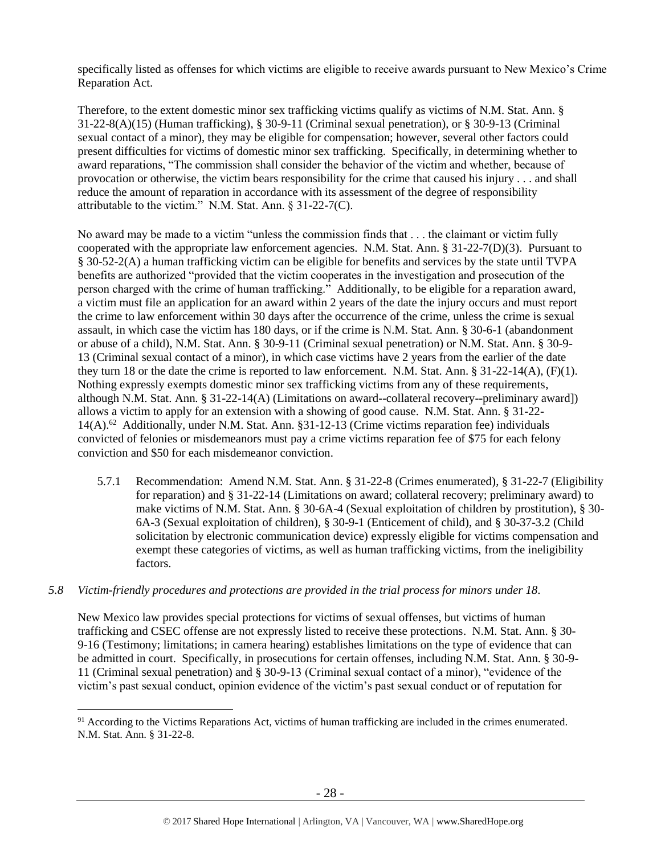specifically listed as offenses for which victims are eligible to receive awards pursuant to New Mexico's Crime Reparation Act.

Therefore, to the extent domestic minor sex trafficking victims qualify as victims of N.M. Stat. Ann. § 31-22-8(A)(15) (Human trafficking), § 30-9-11 (Criminal sexual penetration), or § 30-9-13 (Criminal sexual contact of a minor), they may be eligible for compensation; however, several other factors could present difficulties for victims of domestic minor sex trafficking. Specifically, in determining whether to award reparations, "The commission shall consider the behavior of the victim and whether, because of provocation or otherwise, the victim bears responsibility for the crime that caused his injury . . . and shall reduce the amount of reparation in accordance with its assessment of the degree of responsibility attributable to the victim." N.M. Stat. Ann. § 31-22-7(C).

No award may be made to a victim "unless the commission finds that . . . the claimant or victim fully cooperated with the appropriate law enforcement agencies. N.M. Stat. Ann. § 31-22-7(D)(3). Pursuant to § 30-52-2(A) a human trafficking victim can be eligible for benefits and services by the state until TVPA benefits are authorized "provided that the victim cooperates in the investigation and prosecution of the person charged with the crime of human trafficking." Additionally, to be eligible for a reparation award, a victim must file an application for an award within 2 years of the date the injury occurs and must report the crime to law enforcement within 30 days after the occurrence of the crime, unless the crime is sexual assault, in which case the victim has 180 days, or if the crime is N.M. Stat. Ann. § 30-6-1 (abandonment or abuse of a child), N.M. Stat. Ann. § 30-9-11 (Criminal sexual penetration) or N.M. Stat. Ann. § 30-9- 13 (Criminal sexual contact of a minor), in which case victims have 2 years from the earlier of the date they turn 18 or the date the crime is reported to law enforcement. N.M. Stat. Ann. § 31-22-14(A), (F)(1). Nothing expressly exempts domestic minor sex trafficking victims from any of these requirements, although N.M. Stat. Ann. § 31-22-14(A) (Limitations on award--collateral recovery--preliminary award]) allows a victim to apply for an extension with a showing of good cause. N.M. Stat. Ann. § 31-22- 14(A).<sup>62</sup> Additionally, under N.M. Stat. Ann. §31-12-13 (Crime victims reparation fee) individuals convicted of felonies or misdemeanors must pay a crime victims reparation fee of \$75 for each felony conviction and \$50 for each misdemeanor conviction.

- 5.7.1 Recommendation: Amend N.M. Stat. Ann. § 31-22-8 (Crimes enumerated), § 31-22-7 (Eligibility for reparation) and § 31-22-14 (Limitations on award; collateral recovery; preliminary award) to make victims of N.M. Stat. Ann. § 30-6A-4 (Sexual exploitation of children by prostitution), § 30- 6A-3 (Sexual exploitation of children), § 30-9-1 (Enticement of child), and § 30-37-3.2 (Child solicitation by electronic communication device) expressly eligible for victims compensation and exempt these categories of victims, as well as human trafficking victims, from the ineligibility factors.
- *5.8 Victim-friendly procedures and protections are provided in the trial process for minors under 18.*

 $\overline{a}$ 

New Mexico law provides special protections for victims of sexual offenses, but victims of human trafficking and CSEC offense are not expressly listed to receive these protections. N.M. Stat. Ann. § 30- 9-16 (Testimony; limitations; in camera hearing) establishes limitations on the type of evidence that can be admitted in court. Specifically, in prosecutions for certain offenses, including N.M. Stat. Ann. § 30-9- 11 (Criminal sexual penetration) and § 30-9-13 (Criminal sexual contact of a minor), "evidence of the victim's past sexual conduct, opinion evidence of the victim's past sexual conduct or of reputation for

 $91$  According to the Victims Reparations Act, victims of human trafficking are included in the crimes enumerated. N.M. Stat. Ann. § 31-22-8.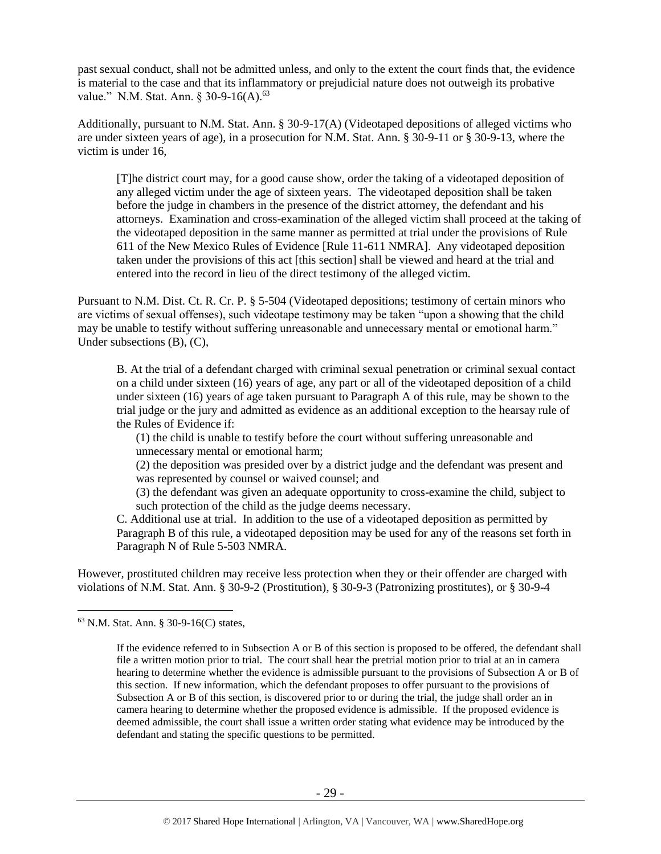past sexual conduct, shall not be admitted unless, and only to the extent the court finds that, the evidence is material to the case and that its inflammatory or prejudicial nature does not outweigh its probative value." N.M. Stat. Ann. § 30-9-16(A).<sup>63</sup>

Additionally, pursuant to N.M. Stat. Ann. § 30-9-17(A) (Videotaped depositions of alleged victims who are under sixteen years of age), in a prosecution for N.M. Stat. Ann. § 30-9-11 or § 30-9-13, where the victim is under 16,

[T]he district court may, for a good cause show, order the taking of a videotaped deposition of any alleged victim under the age of sixteen years. The videotaped deposition shall be taken before the judge in chambers in the presence of the district attorney, the defendant and his attorneys. Examination and cross-examination of the alleged victim shall proceed at the taking of the videotaped deposition in the same manner as permitted at trial under the provisions of Rule 611 of the New Mexico Rules of Evidence [Rule 11-611 NMRA]. Any videotaped deposition taken under the provisions of this act [this section] shall be viewed and heard at the trial and entered into the record in lieu of the direct testimony of the alleged victim.

Pursuant to N.M. Dist. Ct. R. Cr. P. § 5-504 (Videotaped depositions; testimony of certain minors who are victims of sexual offenses), such videotape testimony may be taken "upon a showing that the child may be unable to testify without suffering unreasonable and unnecessary mental or emotional harm." Under subsections (B), (C),

B. At the trial of a defendant charged with criminal sexual penetration or criminal sexual contact on a child under sixteen (16) years of age, any part or all of the videotaped deposition of a child under sixteen (16) years of age taken pursuant to Paragraph A of this rule, may be shown to the trial judge or the jury and admitted as evidence as an additional exception to the hearsay rule of the Rules of Evidence if:

(1) the child is unable to testify before the court without suffering unreasonable and unnecessary mental or emotional harm;

(2) the deposition was presided over by a district judge and the defendant was present and was represented by counsel or waived counsel; and

(3) the defendant was given an adequate opportunity to cross-examine the child, subject to such protection of the child as the judge deems necessary.

C. Additional use at trial. In addition to the use of a videotaped deposition as permitted by Paragraph B of this rule, a videotaped deposition may be used for any of the reasons set forth in Paragraph N of Rule 5-503 NMRA.

However, prostituted children may receive less protection when they or their offender are charged with violations of N.M. Stat. Ann. § 30-9-2 (Prostitution), § 30-9-3 (Patronizing prostitutes), or § 30-9-4

<sup>63</sup> N.M. Stat. Ann. § 30-9-16(C) states,

If the evidence referred to in Subsection A or B of this section is proposed to be offered, the defendant shall file a written motion prior to trial. The court shall hear the pretrial motion prior to trial at an in camera hearing to determine whether the evidence is admissible pursuant to the provisions of Subsection A or B of this section. If new information, which the defendant proposes to offer pursuant to the provisions of Subsection A or B of this section, is discovered prior to or during the trial, the judge shall order an in camera hearing to determine whether the proposed evidence is admissible. If the proposed evidence is deemed admissible, the court shall issue a written order stating what evidence may be introduced by the defendant and stating the specific questions to be permitted.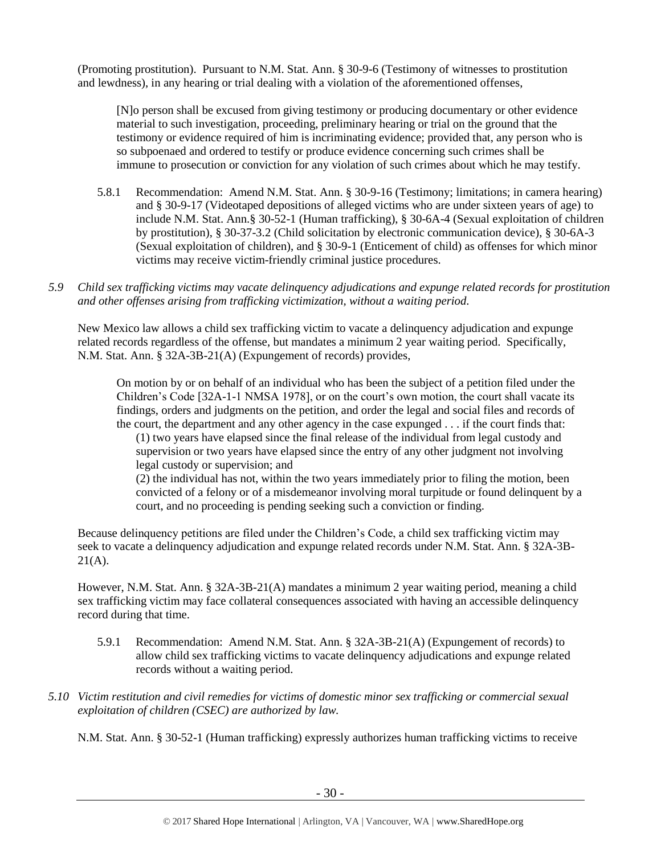(Promoting prostitution). Pursuant to N.M. Stat. Ann. § 30-9-6 (Testimony of witnesses to prostitution and lewdness), in any hearing or trial dealing with a violation of the aforementioned offenses,

[N]o person shall be excused from giving testimony or producing documentary or other evidence material to such investigation, proceeding, preliminary hearing or trial on the ground that the testimony or evidence required of him is incriminating evidence; provided that, any person who is so subpoenaed and ordered to testify or produce evidence concerning such crimes shall be immune to prosecution or conviction for any violation of such crimes about which he may testify.

- 5.8.1 Recommendation: Amend N.M. Stat. Ann. § 30-9-16 (Testimony; limitations; in camera hearing) and § 30-9-17 (Videotaped depositions of alleged victims who are under sixteen years of age) to include N.M. Stat. Ann.§ 30-52-1 (Human trafficking), § 30-6A-4 (Sexual exploitation of children by prostitution), § 30-37-3.2 (Child solicitation by electronic communication device), § 30-6A-3 (Sexual exploitation of children), and § 30-9-1 (Enticement of child) as offenses for which minor victims may receive victim-friendly criminal justice procedures.
- *5.9 Child sex trafficking victims may vacate delinquency adjudications and expunge related records for prostitution and other offenses arising from trafficking victimization, without a waiting period.*

New Mexico law allows a child sex trafficking victim to vacate a delinquency adjudication and expunge related records regardless of the offense, but mandates a minimum 2 year waiting period. Specifically, N.M. Stat. Ann. § 32A-3B-21(A) (Expungement of records) provides,

On motion by or on behalf of an individual who has been the subject of a petition filed under the Children's Code [32A-1-1 NMSA 1978], or on the court's own motion, the court shall vacate its findings, orders and judgments on the petition, and order the legal and social files and records of the court, the department and any other agency in the case expunged . . . if the court finds that:

(1) two years have elapsed since the final release of the individual from legal custody and supervision or two years have elapsed since the entry of any other judgment not involving legal custody or supervision; and

(2) the individual has not, within the two years immediately prior to filing the motion, been convicted of a felony or of a misdemeanor involving moral turpitude or found delinquent by a court, and no proceeding is pending seeking such a conviction or finding.

Because delinquency petitions are filed under the Children's Code, a child sex trafficking victim may seek to vacate a delinquency adjudication and expunge related records under N.M. Stat. Ann. § 32A-3B- $21(A)$ .

However, N.M. Stat. Ann. § 32A-3B-21(A) mandates a minimum 2 year waiting period, meaning a child sex trafficking victim may face collateral consequences associated with having an accessible delinquency record during that time.

- 5.9.1 Recommendation: Amend N.M. Stat. Ann. § 32A-3B-21(A) (Expungement of records) to allow child sex trafficking victims to vacate delinquency adjudications and expunge related records without a waiting period.
- *5.10 Victim restitution and civil remedies for victims of domestic minor sex trafficking or commercial sexual exploitation of children (CSEC) are authorized by law.*

N.M. Stat. Ann. § 30-52-1 (Human trafficking) expressly authorizes human trafficking victims to receive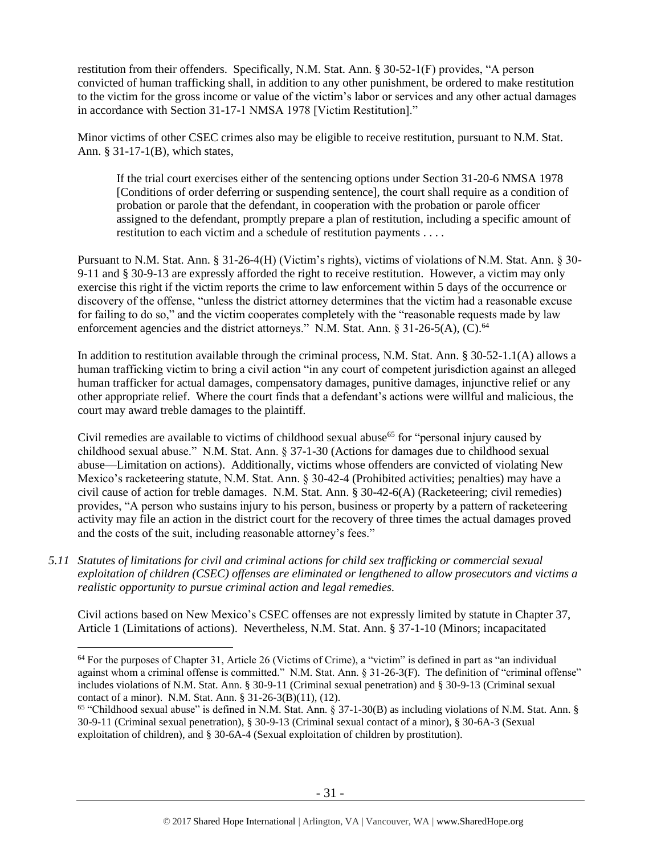restitution from their offenders. Specifically, N.M. Stat. Ann. § 30-52-1(F) provides, "A person convicted of human trafficking shall, in addition to any other punishment, be ordered to make restitution to the victim for the gross income or value of the victim's labor or services and any other actual damages in accordance with Section 31-17-1 NMSA 1978 [Victim Restitution]."

Minor victims of other CSEC crimes also may be eligible to receive restitution, pursuant to N.M. Stat. Ann. § 31-17-1(B), which states,

If the trial court exercises either of the sentencing options under Section 31-20-6 NMSA 1978 [Conditions of order deferring or suspending sentence], the court shall require as a condition of probation or parole that the defendant, in cooperation with the probation or parole officer assigned to the defendant, promptly prepare a plan of restitution, including a specific amount of restitution to each victim and a schedule of restitution payments . . . .

Pursuant to N.M. Stat. Ann. § 31-26-4(H) (Victim's rights), victims of violations of N.M. Stat. Ann. § 30- 9-11 and § 30-9-13 are expressly afforded the right to receive restitution. However, a victim may only exercise this right if the victim reports the crime to law enforcement within 5 days of the occurrence or discovery of the offense, "unless the district attorney determines that the victim had a reasonable excuse for failing to do so," and the victim cooperates completely with the "reasonable requests made by law enforcement agencies and the district attorneys." N.M. Stat. Ann. § 31-26-5(A),  $(C)$ .<sup>64</sup>

In addition to restitution available through the criminal process, N.M. Stat. Ann. § 30-52-1.1(A) allows a human trafficking victim to bring a civil action "in any court of competent jurisdiction against an alleged human trafficker for actual damages, compensatory damages, punitive damages, injunctive relief or any other appropriate relief. Where the court finds that a defendant's actions were willful and malicious, the court may award treble damages to the plaintiff.

Civil remedies are available to victims of childhood sexual abuse<sup>65</sup> for "personal injury caused by childhood sexual abuse." N.M. Stat. Ann. § 37-1-30 (Actions for damages due to childhood sexual abuse—Limitation on actions). Additionally, victims whose offenders are convicted of violating New Mexico's racketeering statute, N.M. Stat. Ann. § 30-42-4 (Prohibited activities; penalties) may have a civil cause of action for treble damages. N.M. Stat. Ann. § 30-42-6(A) (Racketeering; civil remedies) provides, "A person who sustains injury to his person, business or property by a pattern of racketeering activity may file an action in the district court for the recovery of three times the actual damages proved and the costs of the suit, including reasonable attorney's fees."

*5.11 Statutes of limitations for civil and criminal actions for child sex trafficking or commercial sexual exploitation of children (CSEC) offenses are eliminated or lengthened to allow prosecutors and victims a realistic opportunity to pursue criminal action and legal remedies.*

 $\overline{a}$ 

Civil actions based on New Mexico's CSEC offenses are not expressly limited by statute in Chapter 37, Article 1 (Limitations of actions). Nevertheless, N.M. Stat. Ann. § 37-1-10 (Minors; incapacitated

<sup>&</sup>lt;sup>64</sup> For the purposes of Chapter 31, Article 26 (Victims of Crime), a "victim" is defined in part as "an individual against whom a criminal offense is committed." N.M. Stat. Ann. § 31-26-3(F). The definition of "criminal offense" includes violations of N.M. Stat. Ann. § 30-9-11 (Criminal sexual penetration) and § 30-9-13 (Criminal sexual contact of a minor). N.M. Stat. Ann. § 31-26-3(B)(11), (12).

<sup>65</sup> "Childhood sexual abuse" is defined in N.M. Stat. Ann. § 37-1-30(B) as including violations of N.M. Stat. Ann. § 30-9-11 (Criminal sexual penetration), § 30-9-13 (Criminal sexual contact of a minor), § 30-6A-3 (Sexual exploitation of children), and § 30-6A-4 (Sexual exploitation of children by prostitution).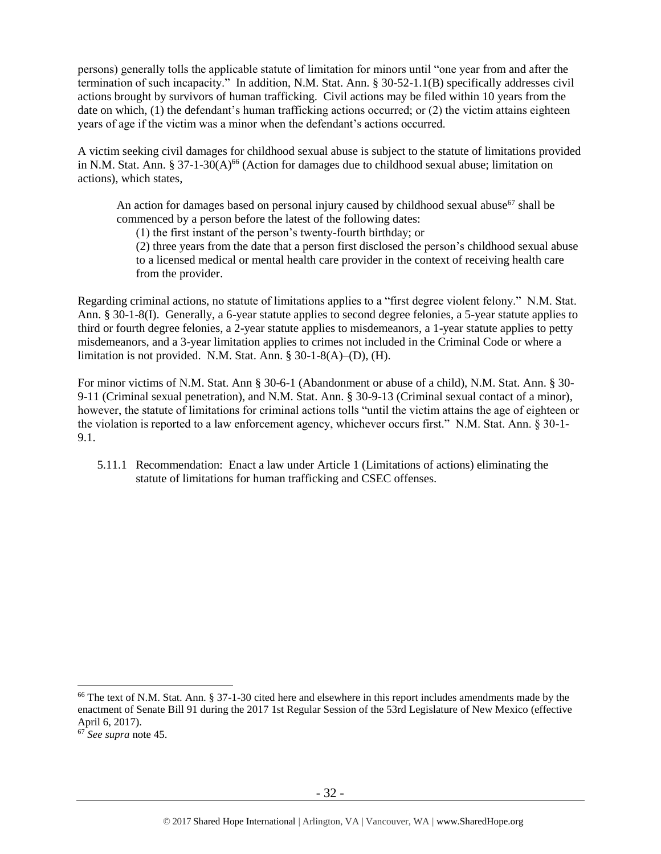persons) generally tolls the applicable statute of limitation for minors until "one year from and after the termination of such incapacity." In addition, N.M. Stat. Ann. § 30-52-1.1(B) specifically addresses civil actions brought by survivors of human trafficking. Civil actions may be filed within 10 years from the date on which, (1) the defendant's human trafficking actions occurred; or (2) the victim attains eighteen years of age if the victim was a minor when the defendant's actions occurred.

A victim seeking civil damages for childhood sexual abuse is subject to the statute of limitations provided in N.M. Stat. Ann. § 37-1-30(A)<sup>66</sup> (Action for damages due to childhood sexual abuse; limitation on actions), which states,

An action for damages based on personal injury caused by childhood sexual abuse<sup>67</sup> shall be commenced by a person before the latest of the following dates:

(1) the first instant of the person's twenty-fourth birthday; or

(2) three years from the date that a person first disclosed the person's childhood sexual abuse to a licensed medical or mental health care provider in the context of receiving health care from the provider.

Regarding criminal actions, no statute of limitations applies to a "first degree violent felony." N.M. Stat. Ann. § 30-1-8(I). Generally, a 6-year statute applies to second degree felonies, a 5-year statute applies to third or fourth degree felonies, a 2-year statute applies to misdemeanors, a 1-year statute applies to petty misdemeanors, and a 3-year limitation applies to crimes not included in the Criminal Code or where a limitation is not provided. N.M. Stat. Ann. § 30-1-8(A)–(D), (H).

For minor victims of N.M. Stat. Ann § 30-6-1 (Abandonment or abuse of a child), N.M. Stat. Ann. § 30- 9-11 (Criminal sexual penetration), and N.M. Stat. Ann. § 30-9-13 (Criminal sexual contact of a minor), however, the statute of limitations for criminal actions tolls "until the victim attains the age of eighteen or the violation is reported to a law enforcement agency, whichever occurs first." N.M. Stat. Ann. § 30-1- 9.1.

5.11.1 Recommendation: Enact a law under Article 1 (Limitations of actions) eliminating the statute of limitations for human trafficking and CSEC offenses.

<sup>&</sup>lt;sup>66</sup> The text of N.M. Stat. Ann. § 37-1-30 cited here and elsewhere in this report includes amendments made by the enactment of Senate Bill 91 during the 2017 1st Regular Session of the 53rd Legislature of New Mexico (effective April 6, 2017).

<sup>67</sup> *See supra* note [45.](#page-18-0)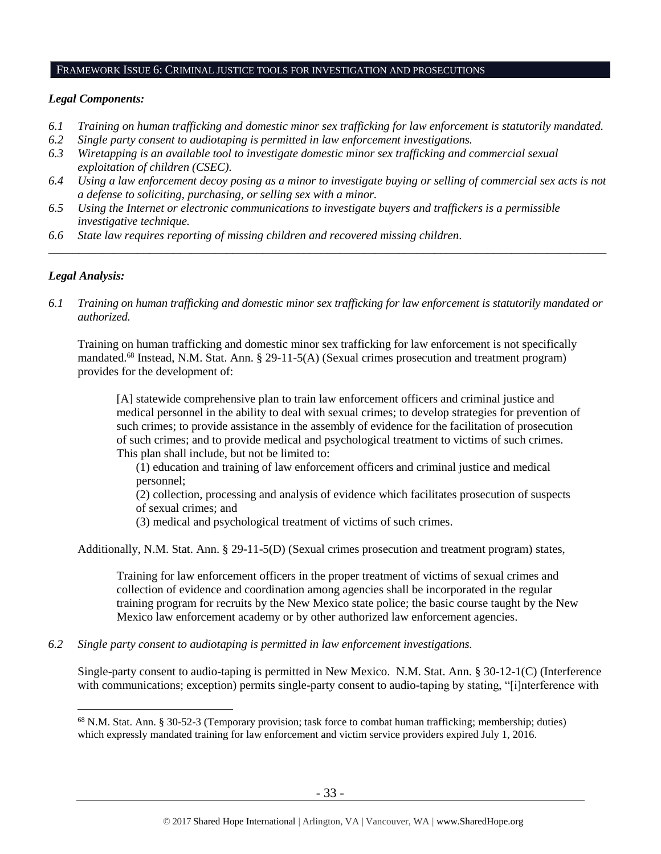#### FRAMEWORK ISSUE 6: CRIMINAL JUSTICE TOOLS FOR INVESTIGATION AND PROSECUTIONS

#### *Legal Components:*

- *6.1 Training on human trafficking and domestic minor sex trafficking for law enforcement is statutorily mandated.*
- *6.2 Single party consent to audiotaping is permitted in law enforcement investigations.*
- *6.3 Wiretapping is an available tool to investigate domestic minor sex trafficking and commercial sexual exploitation of children (CSEC).*
- *6.4 Using a law enforcement decoy posing as a minor to investigate buying or selling of commercial sex acts is not a defense to soliciting, purchasing, or selling sex with a minor.*

*\_\_\_\_\_\_\_\_\_\_\_\_\_\_\_\_\_\_\_\_\_\_\_\_\_\_\_\_\_\_\_\_\_\_\_\_\_\_\_\_\_\_\_\_\_\_\_\_\_\_\_\_\_\_\_\_\_\_\_\_\_\_\_\_\_\_\_\_\_\_\_\_\_\_\_\_\_\_\_\_\_\_\_\_\_\_\_\_\_\_\_\_\_\_*

- *6.5 Using the Internet or electronic communications to investigate buyers and traffickers is a permissible investigative technique.*
- *6.6 State law requires reporting of missing children and recovered missing children.*

## *Legal Analysis:*

 $\overline{a}$ 

*6.1 Training on human trafficking and domestic minor sex trafficking for law enforcement is statutorily mandated or authorized.*

Training on human trafficking and domestic minor sex trafficking for law enforcement is not specifically mandated.<sup>68</sup> Instead, N.M. Stat. Ann. § 29-11-5(A) (Sexual crimes prosecution and treatment program) provides for the development of:

[A] statewide comprehensive plan to train law enforcement officers and criminal justice and medical personnel in the ability to deal with sexual crimes; to develop strategies for prevention of such crimes; to provide assistance in the assembly of evidence for the facilitation of prosecution of such crimes; and to provide medical and psychological treatment to victims of such crimes. This plan shall include, but not be limited to:

(1) education and training of law enforcement officers and criminal justice and medical personnel;

(2) collection, processing and analysis of evidence which facilitates prosecution of suspects of sexual crimes; and

(3) medical and psychological treatment of victims of such crimes.

Additionally, N.M. Stat. Ann. § 29-11-5(D) (Sexual crimes prosecution and treatment program) states,

Training for law enforcement officers in the proper treatment of victims of sexual crimes and collection of evidence and coordination among agencies shall be incorporated in the regular training program for recruits by the New Mexico state police; the basic course taught by the New Mexico law enforcement academy or by other authorized law enforcement agencies.

*6.2 Single party consent to audiotaping is permitted in law enforcement investigations.*

Single-party consent to audio-taping is permitted in New Mexico. N.M. Stat. Ann. § 30-12-1(C) (Interference with communications; exception) permits single-party consent to audio-taping by stating, "[i]nterference with

<sup>68</sup> N.M. Stat. Ann. § 30-52-3 (Temporary provision; task force to combat human trafficking; membership; duties) which expressly mandated training for law enforcement and victim service providers expired July 1, 2016.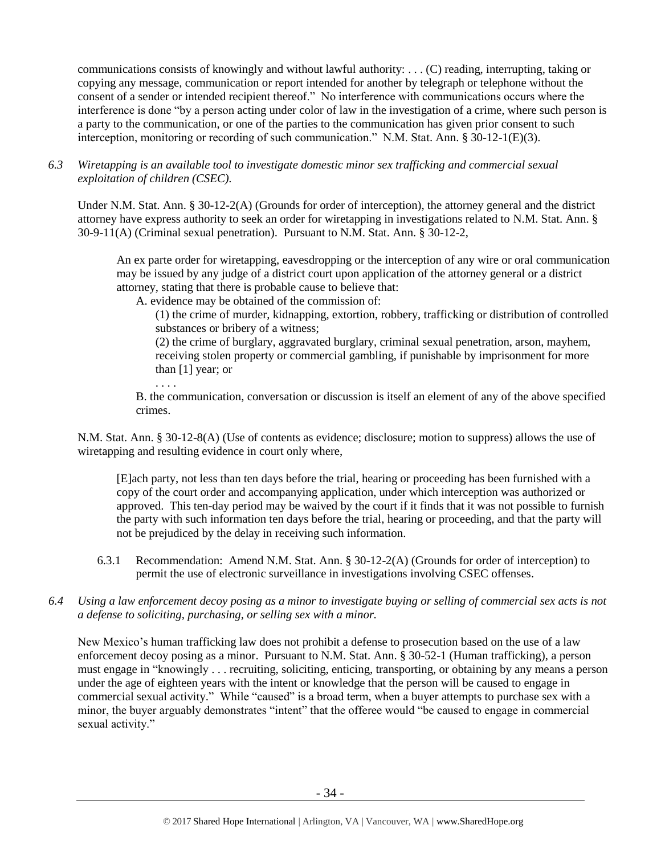communications consists of knowingly and without lawful authority: . . . (C) reading, interrupting, taking or copying any message, communication or report intended for another by telegraph or telephone without the consent of a sender or intended recipient thereof." No interference with communications occurs where the interference is done "by a person acting under color of law in the investigation of a crime, where such person is a party to the communication, or one of the parties to the communication has given prior consent to such interception, monitoring or recording of such communication." N.M. Stat. Ann. § 30-12-1(E)(3).

## *6.3 Wiretapping is an available tool to investigate domestic minor sex trafficking and commercial sexual exploitation of children (CSEC).*

Under N.M. Stat. Ann. § 30-12-2(A) (Grounds for order of interception), the attorney general and the district attorney have express authority to seek an order for wiretapping in investigations related to N.M. Stat. Ann. § 30-9-11(A) (Criminal sexual penetration). Pursuant to N.M. Stat. Ann. § 30-12-2,

An ex parte order for wiretapping, eavesdropping or the interception of any wire or oral communication may be issued by any judge of a district court upon application of the attorney general or a district attorney, stating that there is probable cause to believe that:

A. evidence may be obtained of the commission of:

. . . .

(1) the crime of murder, kidnapping, extortion, robbery, trafficking or distribution of controlled substances or bribery of a witness;

(2) the crime of burglary, aggravated burglary, criminal sexual penetration, arson, mayhem, receiving stolen property or commercial gambling, if punishable by imprisonment for more than [1] year; or

B. the communication, conversation or discussion is itself an element of any of the above specified crimes.

N.M. Stat. Ann. § 30-12-8(A) (Use of contents as evidence; disclosure; motion to suppress) allows the use of wiretapping and resulting evidence in court only where,

[E]ach party, not less than ten days before the trial, hearing or proceeding has been furnished with a copy of the court order and accompanying application, under which interception was authorized or approved. This ten-day period may be waived by the court if it finds that it was not possible to furnish the party with such information ten days before the trial, hearing or proceeding, and that the party will not be prejudiced by the delay in receiving such information.

- 6.3.1 Recommendation: Amend N.M. Stat. Ann. § 30-12-2(A) (Grounds for order of interception) to permit the use of electronic surveillance in investigations involving CSEC offenses.
- *6.4 Using a law enforcement decoy posing as a minor to investigate buying or selling of commercial sex acts is not a defense to soliciting, purchasing, or selling sex with a minor.*

New Mexico's human trafficking law does not prohibit a defense to prosecution based on the use of a law enforcement decoy posing as a minor. Pursuant to N.M. Stat. Ann. § 30-52-1 (Human trafficking), a person must engage in "knowingly . . . recruiting, soliciting, enticing, transporting, or obtaining by any means a person under the age of eighteen years with the intent or knowledge that the person will be caused to engage in commercial sexual activity." While "caused" is a broad term, when a buyer attempts to purchase sex with a minor, the buyer arguably demonstrates "intent" that the offeree would "be caused to engage in commercial sexual activity."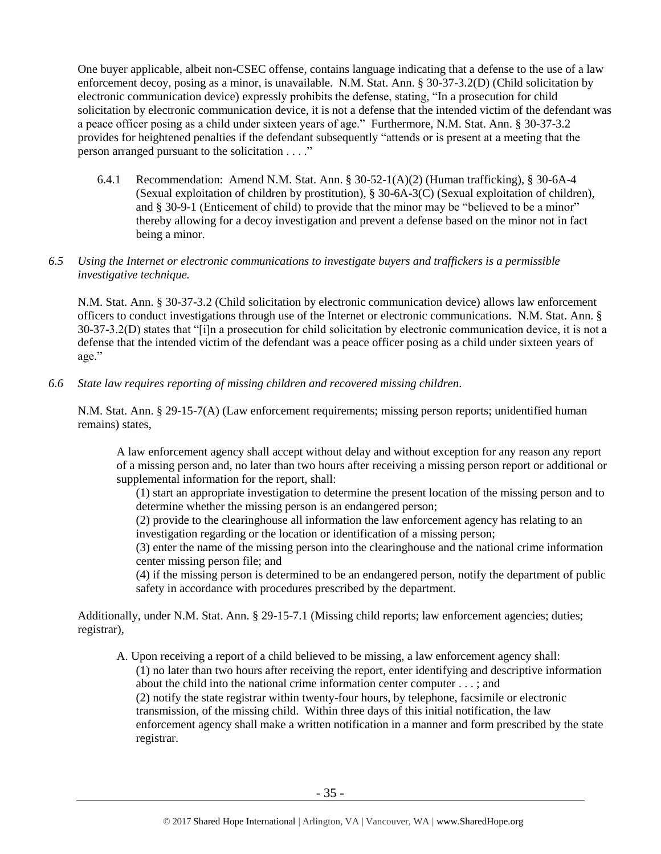One buyer applicable, albeit non-CSEC offense, contains language indicating that a defense to the use of a law enforcement decoy, posing as a minor, is unavailable. N.M. Stat. Ann. § 30-37-3.2(D) (Child solicitation by electronic communication device) expressly prohibits the defense, stating, "In a prosecution for child solicitation by electronic communication device, it is not a defense that the intended victim of the defendant was a peace officer posing as a child under sixteen years of age." Furthermore, N.M. Stat. Ann. § 30-37-3.2 provides for heightened penalties if the defendant subsequently "attends or is present at a meeting that the person arranged pursuant to the solicitation . . . ."

6.4.1 Recommendation: Amend N.M. Stat. Ann. § 30-52-1(A)(2) (Human trafficking), § 30-6A-4 (Sexual exploitation of children by prostitution), § 30-6A-3(C) (Sexual exploitation of children), and § 30-9-1 (Enticement of child) to provide that the minor may be "believed to be a minor" thereby allowing for a decoy investigation and prevent a defense based on the minor not in fact being a minor.

#### *6.5 Using the Internet or electronic communications to investigate buyers and traffickers is a permissible investigative technique.*

N.M. Stat. Ann. § 30-37-3.2 (Child solicitation by electronic communication device) allows law enforcement officers to conduct investigations through use of the Internet or electronic communications. N.M. Stat. Ann. § 30-37-3.2(D) states that "[i]n a prosecution for child solicitation by electronic communication device, it is not a defense that the intended victim of the defendant was a peace officer posing as a child under sixteen years of age."

*6.6 State law requires reporting of missing children and recovered missing children.*

N.M. Stat. Ann. § 29-15-7(A) (Law enforcement requirements; missing person reports; unidentified human remains) states,

A law enforcement agency shall accept without delay and without exception for any reason any report of a missing person and, no later than two hours after receiving a missing person report or additional or supplemental information for the report, shall:

(1) start an appropriate investigation to determine the present location of the missing person and to determine whether the missing person is an endangered person;

(2) provide to the clearinghouse all information the law enforcement agency has relating to an investigation regarding or the location or identification of a missing person;

(3) enter the name of the missing person into the clearinghouse and the national crime information center missing person file; and

(4) if the missing person is determined to be an endangered person, notify the department of public safety in accordance with procedures prescribed by the department.

Additionally, under N.M. Stat. Ann. § 29-15-7.1 (Missing child reports; law enforcement agencies; duties; registrar),

A. Upon receiving a report of a child believed to be missing, a law enforcement agency shall: (1) no later than two hours after receiving the report, enter identifying and descriptive information about the child into the national crime information center computer . . . ; and (2) notify the state registrar within twenty-four hours, by telephone, facsimile or electronic transmission, of the missing child. Within three days of this initial notification, the law enforcement agency shall make a written notification in a manner and form prescribed by the state registrar.